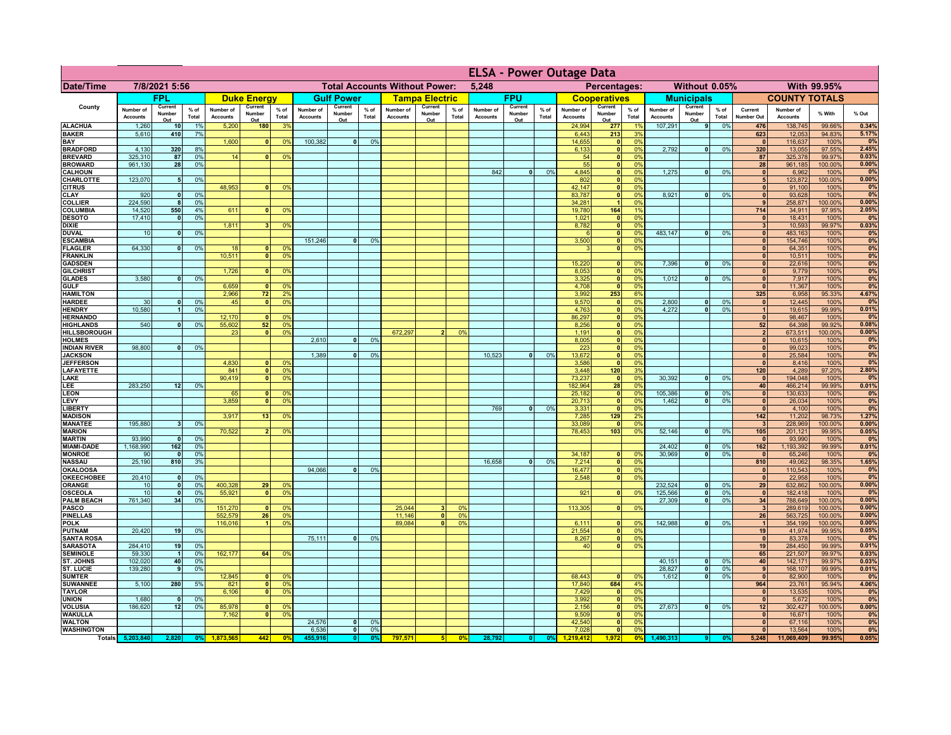|                                       |                              |                          |                 |                              |                                |                                               |                              |                          |                |                              |                          |                 | <b>ELSA - Power Outage Data</b>              |                          |                 |                              |                                                    |                 |                              |                                |                 |                                         |                              |                  |                |
|---------------------------------------|------------------------------|--------------------------|-----------------|------------------------------|--------------------------------|-----------------------------------------------|------------------------------|--------------------------|----------------|------------------------------|--------------------------|-----------------|----------------------------------------------|--------------------------|-----------------|------------------------------|----------------------------------------------------|-----------------|------------------------------|--------------------------------|-----------------|-----------------------------------------|------------------------------|------------------|----------------|
| <b>Date/Time</b>                      | 7/8/2021 5:56                |                          |                 |                              |                                | <b>Total Accounts Without Power:</b><br>5,248 |                              |                          |                |                              |                          |                 | Percentages:<br>Without 0.05%<br>With 99.95% |                          |                 |                              |                                                    |                 |                              |                                |                 |                                         |                              |                  |                |
|                                       |                              | <b>FPL</b>               |                 |                              | <b>Duke Energy</b>             |                                               |                              | <b>Gulf Power</b>        |                |                              | <b>Tampa Electric</b>    |                 |                                              | <b>FPU</b>               |                 |                              | <b>Cooperatives</b>                                |                 |                              | <b>Municipals</b>              |                 |                                         | <b>COUNTY TOTALS</b>         |                  |                |
| County                                | Number of<br><b>Accounts</b> | Current<br>Number<br>Out | $%$ of<br>Total | Number of<br><b>Accounts</b> | Current<br>Number<br>Out       | $%$ of<br>Total                               | Number of<br><b>Accounts</b> | Current<br>Number<br>Out | % of<br>Total  | Number of<br><b>Accounts</b> | Current<br>Number<br>Out | $%$ of<br>Total | Number of<br><b>Accounts</b>                 | Current<br>Number<br>Out | $%$ of<br>Total | Number of<br><b>Accounts</b> | Current<br>Number<br>Out                           | $%$ of<br>Total | Number of<br><b>Accounts</b> | Current<br>Number<br>Out       | $%$ of<br>Total | Current<br>Number Out                   | Number of<br><b>Accounts</b> | % With           | % Out          |
| <b>ALACHUA</b>                        | 1,260                        | 10 <sup>1</sup>          | 1%              | 5,200                        | 180                            | 3 <sup>9</sup>                                |                              |                          |                |                              |                          |                 |                                              |                          |                 | 24,994                       | 277                                                |                 | 107,291                      | $\vert$                        | 0%              | 476                                     | 138,745                      | 99.66%           | 0.34%          |
| <b>BAKER</b><br><b>BAY</b>            | 5,610                        | 410                      | 7%              | 1,600                        | 0                              | 0 <sup>9</sup>                                | 100,382                      | $\overline{0}$           | 0%             |                              |                          |                 |                                              |                          |                 | 6,443<br>14,655              | 213<br> 0                                          | 3%<br>0%        |                              |                                |                 | 623<br>$\mathbf{0}$                     | 12,053<br>116,637            | 94.83%<br>100%   | 5.17%<br>0%    |
| <b>BRADFORD</b>                       | 4,130                        | 320                      | 8%              |                              |                                |                                               |                              |                          |                |                              |                          |                 |                                              |                          |                 | 6,133                        | 0                                                  | 0%              | 2,792                        | 0                              | 0%              | 320                                     | 13,055                       | 97.55%           | 2.45%          |
| <b>BREVARD</b>                        | 325,310                      | 87                       | 0%              | 14                           | 0                              | 0 <sup>9</sup>                                |                              |                          |                |                              |                          |                 |                                              |                          |                 | 54                           | 0                                                  | 0%              |                              |                                |                 | 87                                      | 325,378                      | 99.97%           | 0.03%          |
| <b>BROWARD</b><br><b>CALHOUN</b>      | 961,130                      | 28                       | 0%              |                              |                                |                                               |                              |                          |                |                              |                          |                 | 842                                          | $\bullet$                | 0%              | 55<br>4,845                  | 0 <br> 0                                           | 0%<br>0%        | 1,275                        | 0                              | 0%              | 28<br> 0                                | 961,185<br>6,962             | 100.00%<br>100%  | 0.00%<br>0%    |
| <b>CHARLOTTE</b>                      | 123,070                      | 5 <sub>5</sub>           | 0%              |                              |                                |                                               |                              |                          |                |                              |                          |                 |                                              |                          |                 | 802                          | 0                                                  | 0%              |                              |                                |                 | 5                                       | 123,872                      | 100.00%          | 0.00%          |
| <b>CITRUS</b>                         |                              | $\mathbf{0}$             |                 | 48,953                       | $\mathbf{0}$                   | 0 <sup>9</sup>                                |                              |                          |                |                              |                          |                 |                                              |                          |                 | 42,147<br>83,787             | 0                                                  | 0%<br>0%        |                              | 0                              | 0%              | $\mathbf{0}$<br>$\mathbf{0}$            | 91,100                       | 100%             | 0%             |
| CLAY<br><b>COLLIER</b>                | 920<br>224,590               | 8                        | 0%<br>0%        |                              |                                |                                               |                              |                          |                |                              |                          |                 |                                              |                          |                 | 34,281                       | 0                                                  | 0%              | 8,921                        |                                |                 | $\mathbf{q}$                            | 93,628<br>258,871            | 100%<br>100.00%  | 0%<br>0.00%    |
| <b>COLUMBIA</b>                       | 14,520                       | 550                      | 4%              | 611                          |                                | 0 <sup>9</sup>                                |                              |                          |                |                              |                          |                 |                                              |                          |                 | 19,780                       | 164                                                | 19              |                              |                                |                 | 714                                     | 34,911                       | 97.95%           | 2.05%          |
| <b>DESOTO</b>                         | 17,410                       | $\mathbf{0}$             | 0%              | 1,811                        |                                |                                               |                              |                          |                |                              |                          |                 |                                              |                          |                 | 1,021<br>8,782               | 0                                                  | 0%<br>0%        |                              |                                |                 | $\mathbf{0}$<br>$\overline{\mathbf{3}}$ | 18,431                       | 100%             | 0%             |
| <b>DIXIE</b><br><b>DUVAL</b>          | 10                           | $\mathbf 0$              | 0%              |                              |                                | 0 <sup>9</sup>                                |                              |                          |                |                              |                          |                 |                                              |                          |                 |                              | 0 <br> 0                                           | 0%              | 483,147                      | 0                              | 0%              | $\mathbf{0}$                            | 10,593<br>483,163            | 99.97%<br>100%   | 0.03%<br>0%    |
| <b>ESCAMBIA</b>                       |                              |                          |                 |                              |                                |                                               | 151,246                      | 0                        | 0 <sup>9</sup> |                              |                          |                 |                                              |                          |                 | 3,500                        | 0                                                  | 0%              |                              |                                |                 | $\mathbf{0}$                            | 154,746                      | 100%             | 0%             |
| <b>FLAGLER</b><br><b>FRANKLIN</b>     | 64,330                       | 0                        | 0%              | 18<br>10,511                 | $\mathbf{0}$<br>$\overline{0}$ | 0 <sup>9</sup><br>0 <sup>9</sup>              |                              |                          |                |                              |                          |                 |                                              |                          |                 |                              | 0                                                  | 0%              |                              |                                |                 | $\mathbf{0}$<br>$\mathbf{0}$            | 64,351<br>10,511             | 100%<br>100%     | 0%<br>0%       |
| <b>GADSDEN</b>                        |                              |                          |                 |                              |                                |                                               |                              |                          |                |                              |                          |                 |                                              |                          |                 | 15,220                       | 0                                                  | 0%              | 7,396                        | -ol                            | 0%              | 0                                       | 22,616                       | 100%             | 0%             |
| <b>GILCHRIST</b>                      |                              |                          |                 | 1.726                        | 0                              | 0 <sup>9</sup>                                |                              |                          |                |                              |                          |                 |                                              |                          |                 | 8,053                        | 0                                                  | 0%              |                              |                                |                 | $\overline{0}$                          | 9,779                        | 100%             | 0%             |
| <b>GLADES</b>                         | 3,580                        | 0                        | 0%              | 6,659                        |                                |                                               |                              |                          |                |                              |                          |                 |                                              |                          |                 | 3,325<br>4,708               | 0 <br> 0                                           | 0%<br>0%        | 1,012                        | $\overline{0}$                 | 0%              | 0 <br>$\mathbf{0}$                      | 7,917                        | 100%             | 0%<br>0%       |
| <b>GULF</b><br><b>HAMILTON</b>        |                              |                          |                 | 2.966                        | 0 <br>72                       | 0 <sup>9</sup><br>2 <sup>0</sup>              |                              |                          |                |                              |                          |                 |                                              |                          |                 | 3,992                        | 253                                                | 6%              |                              |                                |                 | 325                                     | 11,367<br>6,958              | 100%<br>95.33%   | 4.67%          |
| <b>HARDEE</b>                         | 30                           | 0                        | 0%              | 45                           | $\overline{0}$                 | 0 <sup>9</sup>                                |                              |                          |                |                              |                          |                 |                                              |                          |                 | 9,570                        | $\overline{\mathbf{0}}$                            | 0%              | 2,800                        | 0                              | 0%              | 0                                       | 12,445                       | 100%             | 0%             |
| <b>HENDRY</b>                         | 10,580                       | $\overline{1}$           | 0 <sup>9</sup>  |                              |                                |                                               |                              |                          |                |                              |                          |                 |                                              |                          |                 | 4,763                        | $\overline{\mathbf{0}}$                            | 0%              | 4.272                        | $\overline{0}$                 | 0%              | 1<br> 0                                 | 19,615                       | 99.99%           | 0.01%<br>0%    |
| <b>HERNANDO</b><br><b>HIGHLANDS</b>   | 540                          | 0                        | 0 <sup>9</sup>  | 12,170<br>55,602             | 0 <br>52                       | 0 <sup>9</sup><br>0 <sup>9</sup>              |                              |                          |                |                              |                          |                 |                                              |                          |                 | 86,297<br>8,256              | $\overline{\mathbf{0}}$<br>$\overline{\mathbf{0}}$ | 0%<br>0%        |                              |                                |                 | 52                                      | 98,467<br>64,398             | 100%<br>99.92%   | 0.08%          |
| <b>HILLSBOROUGH</b>                   |                              |                          |                 | 23                           | $\mathbf{0}$                   | 0 <sup>9</sup>                                |                              |                          |                | 672,297                      |                          | 0%              |                                              |                          |                 | 1,191                        | 0                                                  | 0%              |                              |                                |                 | 2 <sup>1</sup>                          | 673,511                      | 100.00%          | 0.00%          |
| <b>HOLMES</b>                         |                              |                          |                 |                              |                                |                                               | 2,610                        | $\Omega$                 | 0 <sup>9</sup> |                              |                          |                 |                                              |                          |                 | 8,005                        | $\overline{\mathbf{0}}$                            | 0%              |                              |                                |                 | $\mathbf{0}$                            | 10,615                       | 100%             | 0%<br>0%       |
| <b>INDIAN RIVER</b><br><b>JACKSON</b> | 98,800                       | 0                        | 0%              |                              |                                |                                               | 1,389                        | n l                      | 0 <sup>9</sup> |                              |                          |                 | 10,523                                       | $\mathbf{0}$             | 0%              | 223<br>13,672                | 0 <br> 0                                           | 0%<br>0%        |                              |                                |                 | $\mathbf{0}$<br> 0                      | 99,023<br>25,584             | 100%<br>100%     | 0%             |
| <b>JEFFERSON</b>                      |                              |                          |                 | 4,830                        | $\Omega$                       | 0 <sup>9</sup>                                |                              |                          |                |                              |                          |                 |                                              |                          |                 | 3,586                        | 0                                                  | 0%              |                              |                                |                 | 0                                       | 8,416                        | 100%             | 0%             |
| <b>LAFAYETTE</b><br>LAKE              |                              |                          |                 | 841<br>90,419                | $\mathbf{0}$<br> 0             | 0 <sup>9</sup><br>0 <sup>9</sup>              |                              |                          |                |                              |                          |                 |                                              |                          |                 | 3,448<br>73,237              | 120<br> 0                                          | 3%<br>0%        | 30,392                       | $\mathbf{0}$                   | 0%              | 120                                     | 4,289<br>194,048             | 97.20%<br>100%   | 2.80%<br>0%    |
| LEE                                   | 283,250                      | 12                       | 0%              |                              |                                |                                               |                              |                          |                |                              |                          |                 |                                              |                          |                 | 182,964                      | 28                                                 | 0%              |                              |                                |                 | 0 <br>40                                | 466,214                      | 99.99%           | 0.01%          |
| <b>LEON</b>                           |                              |                          |                 | 65                           | $\Omega$                       | $^{\circ}$                                    |                              |                          |                |                              |                          |                 |                                              |                          |                 | 25,182                       | 0                                                  | 0%              | 105,386                      | - O I                          | 0%              | 0                                       | 130,633                      | 100%             | 0%             |
| LEVY                                  |                              |                          |                 | 3,859                        | 0                              | 0 <sup>9</sup>                                |                              |                          |                |                              |                          |                 | 769                                          |                          | 0%              | 20,713                       | 0                                                  | 0%              | 1,462                        | - O I                          | 0%              | 0                                       | 26,034                       | 100%             | 0%<br>0%       |
| LIBERTY<br><b>MADISON</b>             |                              |                          |                 | 3,917                        | 13                             | 0 <sup>9</sup>                                |                              |                          |                |                              |                          |                 |                                              | $\mathbf{0}$             |                 | 3,331<br>7,285               | 0 <br>129                                          | 0%<br>2%        |                              |                                |                 | 0 <br>142                               | 4,100<br>11,202              | 100%<br>98.73%   | 1.27%          |
| <b>MANATEE</b>                        | 195,880                      | 3 <sup>1</sup>           | 0%              |                              |                                |                                               |                              |                          |                |                              |                          |                 |                                              |                          |                 | 33,089                       | 0                                                  | 0%              |                              |                                |                 | $\mathbf{3}$                            | 228,969                      | 100.00%          | 0.00%          |
| <b>MARION</b><br><b>MARTIN</b>        | 93,990                       | $\mathbf{0}$             | 0%              | 70,522                       | 2 <sup>1</sup>                 | 0 <sup>9</sup>                                |                              |                          |                |                              |                          |                 |                                              |                          |                 | 78,453                       | 103                                                | 0%              | 52,146                       | ol                             | 0%              | 105<br> 0                               | 201,121<br>93,990            | 99.95%<br>100%   | 0.05%<br>0%    |
| <b>MIAMI-DADE</b>                     | 1,168,990                    | 162                      | 0%              |                              |                                |                                               |                              |                          |                |                              |                          |                 |                                              |                          |                 |                              |                                                    |                 | 24,402                       | $\mathbf{0}$                   | 0%              | 162                                     | 1,193,392                    | 99.99%           | 0.01%          |
| <b>MONROE</b>                         | 90                           | - O I                    | 0%              |                              |                                |                                               |                              |                          |                |                              |                          |                 |                                              |                          |                 | 34,187                       | 0                                                  | $\Omega$ %      | 30.969                       | - O I                          | 0%              | 0                                       | 65,246                       | 100%             | 0%             |
| <b>NASSAU</b>                         | 25,190                       | 810                      | 3%              |                              |                                |                                               |                              |                          |                |                              |                          |                 | 16,658                                       | 0                        | 0%              | 7,214                        | 0                                                  | 0%<br>0%        |                              |                                |                 | 810                                     | 49,062                       | 98.35%           | 1.65%<br>0%    |
| <b>OKALOOSA</b><br><b>OKEECHOBEE</b>  | 20,410                       | 0                        | 0%              |                              |                                |                                               | 94,066                       | 0                        | 0%             |                              |                          |                 |                                              |                          |                 | 16,477<br>2,548              | 0 <br> 0                                           | 0%              |                              |                                |                 | 0 <br> 0                                | 110,543<br>22,958            | 100%<br>100%     | 0%             |
| ORANGE                                | 10                           | 0                        | 0%              | 400,328                      | 29                             | 0 <sup>9</sup>                                |                              |                          |                |                              |                          |                 |                                              |                          |                 |                              |                                                    |                 | 232,524                      | 0                              | 0%              | 29                                      | 632,862                      | 100.00%          | 0.00%          |
| OSCEOLA<br><b>PALM BEACH</b>          | 10<br>761,340                | 0 <br>34                 | 0%<br>0%        | 55,92'                       | 0                              | 0 <sup>9</sup>                                |                              |                          |                |                              |                          |                 |                                              |                          |                 | 921                          | 0                                                  | 0%              | 125,566<br>27,309            | 0 <br>$\overline{\phantom{0}}$ | 0%<br>0%        | 0 <br>34                                | 182,418<br>788,649           | 100%<br>100.00%  | 0%<br>0.00%    |
| <b>PASCO</b>                          |                              |                          |                 | 151,270                      | 0                              | 0 <sup>9</sup>                                |                              |                          |                | 25,044                       |                          | 0%              |                                              |                          |                 | 113,305                      | 0                                                  | 0%              |                              |                                |                 | $\vert$ 3                               | 289,619                      | 100.00%          | 0.00%          |
| <b>PINELLAS</b>                       |                              |                          |                 | 552,579                      | 26                             | 0 <sup>9</sup>                                |                              |                          |                | 11,146                       | $\mathbf{0}$             | 0%              |                                              |                          |                 |                              |                                                    |                 |                              |                                |                 | 26                                      | 563,725                      | 100.00%          | 0.00%          |
| <b>POLK</b>                           |                              |                          |                 | 116,016                      | $\blacktriangleleft$           | 0 <sup>9</sup>                                |                              |                          |                | 89,084                       | $\mathbf{0}$             | 0%              |                                              |                          |                 | 6,111                        | 0                                                  | nº              | 142,988                      | 0                              | 0%              | $\vert$ 1                               | 354,199                      | 100.00%          | 0.00%<br>0.05% |
| PUTNAM<br><b>SANTA ROSA</b>           | 20,420                       | 19                       | 0%              |                              |                                |                                               | 75,111                       | 0                        | 0%             |                              |                          |                 |                                              |                          |                 | 21,554<br>8,267              | 0 <br> 0                                           | 0%<br>0%        |                              |                                |                 | 19<br> 0                                | 41,974<br>83,378             | 99.95%<br>100%   | 0%             |
| <b>SARASOTA</b>                       | 284,410                      | 19                       | 0%              |                              |                                |                                               |                              |                          |                |                              |                          |                 |                                              |                          |                 | 40                           | 0                                                  | 0%              |                              |                                |                 | 19                                      | 284,450                      | 99.99%           | 0.01%          |
| <b>SEMINOLE</b><br>ST. JOHNS          | 59,330<br>102,020            | $\overline{1}$<br>40     | 0%<br>0%        | 162,177                      | 64                             | 0 <sup>9</sup>                                |                              |                          |                |                              |                          |                 |                                              |                          |                 |                              |                                                    |                 | 40,151                       | $\mathbf{0}$                   | 0%              | 65<br>40                                | 221,507<br>142,171           | 99.97%<br>99.97% | 0.03%<br>0.03% |
| <b>ST. LUCIE</b>                      | 139,280                      | 9                        | 0%              |                              |                                |                                               |                              |                          |                |                              |                          |                 |                                              |                          |                 |                              |                                                    |                 | 28,827                       | 0                              | 0%              | 9                                       | 168,107                      | 99.99%           | 0.01%          |
| <b>SUMTER</b>                         |                              |                          |                 | 12,845                       |                                | $\Omega$                                      |                              |                          |                |                              |                          |                 |                                              |                          |                 | 68,443                       | $\mathbf{0}$                                       | 0 <sup>9</sup>  | 1,612                        | -ol                            | 0%              | 0                                       | 82,900                       | 100%             | 0%             |
| <b>SUWANNEE</b>                       | 5,100                        | 280                      | 5%              | 821                          | $\mathbf{0}$<br>$\Omega$       | 0 <sup>9</sup>                                |                              |                          |                |                              |                          |                 |                                              |                          |                 | 17,840                       | 684                                                | 4%<br>0%        |                              |                                |                 | 964<br>$\mathbf{0}$                     | 23,761                       | 95.94%           | 4.06%          |
| <b>TAYLOR</b><br><b>UNION</b>         | 1,680                        | $\mathbf 0$              | 0 <sup>9</sup>  | 6,106                        |                                | 0 <sup>9</sup>                                |                              |                          |                |                              |                          |                 |                                              |                          |                 | 7,429<br>3,992               | 0 <br> 0                                           | 0%              |                              |                                |                 | $\mathbf{0}$                            | 13,535<br>5,672              | 100%<br>100%     | 0%<br>0%       |
| <b>VOLUSIA</b>                        | 186,620                      | 12                       | 0%              | 85,978                       |                                | 0 <sup>9</sup>                                |                              |                          |                |                              |                          |                 |                                              |                          |                 | 2,156                        | 0                                                  | 0%              | 27,673                       | -ol                            | 0%              | 12                                      | 302,427                      | 100.00%          | 0.00%          |
| <b>WAKULLA</b><br><b>WALTON</b>       |                              |                          |                 | 7,162                        | $\mathbf{0}$                   | 0 <sup>9</sup>                                | 24,576                       | 0                        | 0 <sup>9</sup> |                              |                          |                 |                                              |                          |                 | 9,509<br>42,540              | 0 <br> 0                                           | 0%<br>0%        |                              |                                |                 | $\mathbf{0}$<br> 0                      | 16,671<br>67,116             | 100%<br>100%     | 0%<br>0%       |
| <b>WASHINGTON</b>                     |                              |                          |                 |                              |                                |                                               | 6,536                        | $\overline{\mathbf{0}}$  | 0%             |                              |                          |                 |                                              |                          |                 | 7,028                        | $\overline{\bullet}$                               | 0%              |                              |                                |                 | 0                                       | 13,564                       | 100%             | 0%             |
|                                       | Totals 5,203,840             | 2,820                    | O°              | 1873565                      | 442                            | n                                             | 455.916                      | 0                        | 0 <sup>9</sup> | 797,571                      | 5 <sup>1</sup>           | 0%              | 28,792                                       | 0                        | 0%              | 1.219.412                    | 1,972                                              | 0%              | 1,490,313                    |                                |                 | 5,248                                   | 11,069,409                   | 99.95%           | 0.05%          |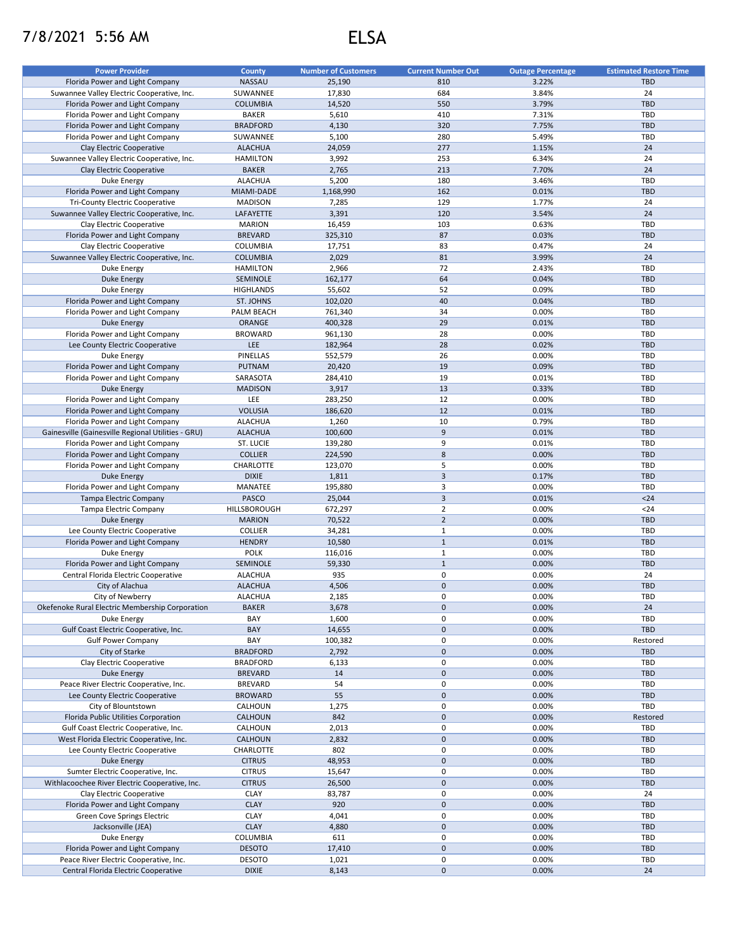## 7/8/2021 5:56 AM ELSA

| <b>Power Provider</b>                              | <b>County</b>    | <b>Number of Customers</b> | <b>Current Number Out</b> | <b>Outage Percentage</b> | <b>Estimated Restore Time</b> |
|----------------------------------------------------|------------------|----------------------------|---------------------------|--------------------------|-------------------------------|
| Florida Power and Light Company                    | <b>NASSAU</b>    | 25,190                     | 810                       | 3.22%                    | <b>TBD</b>                    |
| Suwannee Valley Electric Cooperative, Inc.         | SUWANNEE         | 17,830                     | 684                       | 3.84%                    | 24                            |
| Florida Power and Light Company                    | <b>COLUMBIA</b>  | 14,520                     | 550                       | 3.79%                    | <b>TBD</b>                    |
| Florida Power and Light Company                    | <b>BAKER</b>     | 5,610                      | 410                       | 7.31%                    | TBD                           |
| Florida Power and Light Company                    | <b>BRADFORD</b>  | 4,130                      | 320                       | 7.75%                    | <b>TBD</b>                    |
| Florida Power and Light Company                    | SUWANNEE         | 5,100                      | 280                       | 5.49%                    | <b>TBD</b>                    |
| Clay Electric Cooperative                          | <b>ALACHUA</b>   | 24,059                     | 277                       | 1.15%                    | 24                            |
|                                                    |                  |                            |                           |                          |                               |
| Suwannee Valley Electric Cooperative, Inc.         | <b>HAMILTON</b>  | 3,992                      | 253                       | 6.34%                    | 24                            |
| Clay Electric Cooperative                          | <b>BAKER</b>     | 2,765                      | 213                       | 7.70%                    | 24                            |
| Duke Energy                                        | <b>ALACHUA</b>   | 5,200                      | 180                       | 3.46%                    | <b>TBD</b>                    |
| Florida Power and Light Company                    | MIAMI-DADE       | 1,168,990                  | 162                       | 0.01%                    | <b>TBD</b>                    |
| <b>Tri-County Electric Cooperative</b>             | <b>MADISON</b>   | 7,285                      | 129                       | 1.77%                    | 24                            |
| Suwannee Valley Electric Cooperative, Inc.         | LAFAYETTE        | 3,391                      | 120                       | 3.54%                    | 24                            |
| Clay Electric Cooperative                          | <b>MARION</b>    | 16,459                     | 103                       | 0.63%                    | TBD                           |
| Florida Power and Light Company                    | <b>BREVARD</b>   | 325,310                    | 87                        | 0.03%                    | <b>TBD</b>                    |
| Clay Electric Cooperative                          | COLUMBIA         | 17,751                     | 83                        | 0.47%                    | 24                            |
| Suwannee Valley Electric Cooperative, Inc.         | <b>COLUMBIA</b>  | 2,029                      | 81                        | 3.99%                    | 24                            |
| Duke Energy                                        | <b>HAMILTON</b>  | 2,966                      | 72                        | 2.43%                    | TBD                           |
| <b>Duke Energy</b>                                 | SEMINOLE         | 162,177                    | 64                        | 0.04%                    | <b>TBD</b>                    |
| Duke Energy                                        | <b>HIGHLANDS</b> | 55,602                     | 52                        | 0.09%                    | TBD                           |
| Florida Power and Light Company                    | ST. JOHNS        | 102,020                    | 40                        | 0.04%                    | <b>TBD</b>                    |
| Florida Power and Light Company                    | PALM BEACH       | 761,340                    | 34                        | 0.00%                    | TBD                           |
| <b>Duke Energy</b>                                 | ORANGE           | 400,328                    | 29                        | 0.01%                    | <b>TBD</b>                    |
| Florida Power and Light Company                    | <b>BROWARD</b>   | 961,130                    | 28                        | 0.00%                    | <b>TBD</b>                    |
| Lee County Electric Cooperative                    | LEE              | 182,964                    | 28                        | 0.02%                    | <b>TBD</b>                    |
|                                                    |                  |                            |                           |                          |                               |
| Duke Energy                                        | PINELLAS         | 552,579                    | 26                        | 0.00%                    | TBD                           |
| Florida Power and Light Company                    | PUTNAM           | 20,420                     | 19                        | 0.09%                    | <b>TBD</b>                    |
| Florida Power and Light Company                    | SARASOTA         | 284,410                    | 19                        | 0.01%                    | <b>TBD</b>                    |
| <b>Duke Energy</b>                                 | <b>MADISON</b>   | 3,917                      | 13                        | 0.33%                    | <b>TBD</b>                    |
| Florida Power and Light Company                    | <b>LEE</b>       | 283,250                    | 12                        | 0.00%                    | <b>TBD</b>                    |
| Florida Power and Light Company                    | <b>VOLUSIA</b>   | 186,620                    | 12                        | 0.01%                    | <b>TBD</b>                    |
| Florida Power and Light Company                    | <b>ALACHUA</b>   | 1,260                      | 10                        | 0.79%                    | TBD                           |
| Gainesville (Gainesville Regional Utilities - GRU) | <b>ALACHUA</b>   | 100,600                    | 9                         | 0.01%                    | <b>TBD</b>                    |
| Florida Power and Light Company                    | ST. LUCIE        | 139,280                    | 9                         | 0.01%                    | <b>TBD</b>                    |
| Florida Power and Light Company                    | <b>COLLIER</b>   | 224,590                    | $\bf 8$                   | 0.00%                    | <b>TBD</b>                    |
| Florida Power and Light Company                    | CHARLOTTE        | 123,070                    | 5                         | 0.00%                    | <b>TBD</b>                    |
| <b>Duke Energy</b>                                 | <b>DIXIE</b>     | 1,811                      | $\overline{\mathbf{3}}$   | 0.17%                    | <b>TBD</b>                    |
| Florida Power and Light Company                    | MANATEE          | 195,880                    | 3                         | 0.00%                    | <b>TBD</b>                    |
| Tampa Electric Company                             | PASCO            | 25,044                     | $\overline{\mathbf{3}}$   | 0.01%                    | $24$                          |
| Tampa Electric Company                             | HILLSBOROUGH     | 672,297                    | $\overline{2}$            | 0.00%                    | $24$                          |
| <b>Duke Energy</b>                                 | <b>MARION</b>    | 70,522                     | $\overline{2}$            | 0.00%                    | <b>TBD</b>                    |
| Lee County Electric Cooperative                    | <b>COLLIER</b>   | 34,281                     | $\mathbf{1}$              | 0.00%                    | <b>TBD</b>                    |
| Florida Power and Light Company                    | <b>HENDRY</b>    | 10,580                     | $\mathbf{1}$              | 0.01%                    | <b>TBD</b>                    |
| Duke Energy                                        | <b>POLK</b>      | 116,016                    | $\mathbf{1}$              | 0.00%                    | TBD                           |
|                                                    | SEMINOLE         | 59,330                     | $\mathbf{1}$              | 0.00%                    | <b>TBD</b>                    |
| Florida Power and Light Company                    |                  |                            |                           |                          |                               |
| Central Florida Electric Cooperative               | <b>ALACHUA</b>   | 935                        | $\pmb{0}$                 | 0.00%                    | 24                            |
| City of Alachua                                    | <b>ALACHUA</b>   | 4,506                      | $\pmb{0}$                 | 0.00%                    | <b>TBD</b>                    |
| City of Newberry                                   | <b>ALACHUA</b>   | 2,185                      | $\mathsf 0$               | 0.00%                    | TBD                           |
| Okefenoke Rural Electric Membership Corporation    | <b>BAKER</b>     | 3,678                      | $\mathbf 0$               | 0.00%                    | 24                            |
| Duke Energy                                        | BAY              | 1,600                      | 0                         | 0.00%                    | TBD                           |
| Gulf Coast Electric Cooperative, Inc.              | BAY              | 14,655                     | $\mathbf 0$               | 0.00%                    | <b>TBD</b>                    |
| <b>Gulf Power Company</b>                          | BAY              | 100,382                    | $\pmb{0}$                 | 0.00%                    | Restored                      |
| City of Starke                                     | <b>BRADFORD</b>  | 2,792                      | $\pmb{0}$                 | 0.00%                    | <b>TBD</b>                    |
| Clay Electric Cooperative                          | <b>BRADFORD</b>  | 6,133                      | $\pmb{0}$                 | 0.00%                    | TBD                           |
| <b>Duke Energy</b>                                 | <b>BREVARD</b>   | 14                         | $\mathbf 0$               | 0.00%                    | <b>TBD</b>                    |
| Peace River Electric Cooperative, Inc.             | <b>BREVARD</b>   | 54                         | $\pmb{0}$                 | 0.00%                    | TBD                           |
| Lee County Electric Cooperative                    | <b>BROWARD</b>   | 55                         | $\mathbf 0$               | 0.00%                    | <b>TBD</b>                    |
| City of Blountstown                                | CALHOUN          | 1,275                      | 0                         | 0.00%                    | TBD                           |
| Florida Public Utilities Corporation               | CALHOUN          | 842                        | $\pmb{0}$                 | 0.00%                    | Restored                      |
| Gulf Coast Electric Cooperative, Inc.              | CALHOUN          | 2,013                      | 0                         | 0.00%                    | TBD                           |
| West Florida Electric Cooperative, Inc.            | CALHOUN          | 2,832                      | $\pmb{0}$                 | 0.00%                    | <b>TBD</b>                    |
| Lee County Electric Cooperative                    | CHARLOTTE        | 802                        | 0                         | 0.00%                    | TBD                           |
|                                                    |                  |                            | $\mathbf 0$               |                          | <b>TBD</b>                    |
| Duke Energy                                        | <b>CITRUS</b>    | 48,953                     |                           | 0.00%                    |                               |
| Sumter Electric Cooperative, Inc.                  | <b>CITRUS</b>    | 15,647                     | 0                         | 0.00%                    | TBD                           |
| Withlacoochee River Electric Cooperative, Inc.     | <b>CITRUS</b>    | 26,500                     | $\pmb{0}$                 | 0.00%                    | TBD                           |
| Clay Electric Cooperative                          | <b>CLAY</b>      | 83,787                     | $\pmb{0}$                 | 0.00%                    | 24                            |
| Florida Power and Light Company                    | <b>CLAY</b>      | 920                        | $\mathbf 0$               | 0.00%                    | TBD                           |
| Green Cove Springs Electric                        | CLAY             | 4,041                      | 0                         | 0.00%                    | TBD                           |
| Jacksonville (JEA)                                 | <b>CLAY</b>      | 4,880                      | $\mathbf 0$               | 0.00%                    | <b>TBD</b>                    |
| Duke Energy                                        | COLUMBIA         | 611                        | 0                         | 0.00%                    | TBD                           |
| Florida Power and Light Company                    | <b>DESOTO</b>    | 17,410                     | $\mathbf 0$               | 0.00%                    | <b>TBD</b>                    |
| Peace River Electric Cooperative, Inc.             | <b>DESOTO</b>    | 1,021                      | 0                         | 0.00%                    | TBD                           |
| Central Florida Electric Cooperative               | <b>DIXIE</b>     | 8,143                      | $\mathbf 0$               | 0.00%                    | 24                            |
|                                                    |                  |                            |                           |                          |                               |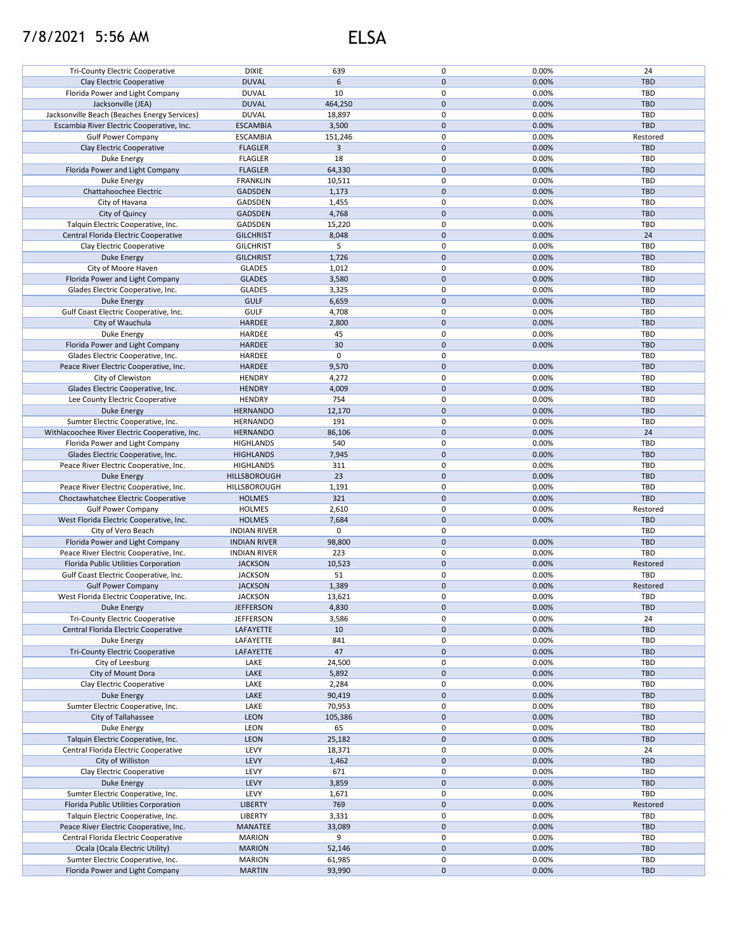## 7/8/2021 5:56 AM ELSA

| <b>DIXIE</b><br>Tri-County Electric Cooperative<br>639<br>0.00%<br>24<br><b>DUVAL</b><br>$\mathbf 0$<br>Clay Electric Cooperative<br>6<br>0.00%<br><b>TBD</b><br><b>DUVAL</b><br>10<br>0<br>0.00%<br>TBD<br>Florida Power and Light Company<br><b>DUVAL</b><br>464,250<br>$\mathbf{0}$<br>0.00%<br><b>TBD</b><br>Jacksonville (JEA)<br><b>DUVAL</b><br>0<br>TBD<br>Jacksonville Beach (Beaches Energy Services)<br>18,897<br>0.00%<br>$\mathbf 0$<br><b>ESCAMBIA</b><br>3,500<br>0.00%<br><b>TBD</b><br>Escambia River Electric Cooperative, Inc.<br><b>ESCAMBIA</b><br>151,246<br>0<br>0.00%<br><b>Gulf Power Company</b><br>Restored<br>$\mathsf 3$<br>0<br>0.00%<br><b>TBD</b><br>Clay Electric Cooperative<br><b>FLAGLER</b><br>18<br>0<br><b>FLAGLER</b><br>0.00%<br>TBD<br>Duke Energy<br>$\pmb{0}$<br>0.00%<br><b>TBD</b><br>Florida Power and Light Company<br><b>FLAGLER</b><br>64,330<br>0<br>TBD<br>Duke Energy<br><b>FRANKLIN</b><br>10,511<br>0.00%<br>$\mathbf 0$<br>0.00%<br><b>TBD</b><br>Chattahoochee Electric<br><b>GADSDEN</b><br>1,173<br>0<br>City of Havana<br>GADSDEN<br>1,455<br>0.00%<br>TBD<br>0<br>0.00%<br>City of Quincy<br><b>GADSDEN</b><br>4,768<br><b>TBD</b><br>0<br>Talquin Electric Cooperative, Inc.<br>GADSDEN<br>15,220<br>0.00%<br>TBD<br>$\mathbf 0$<br>0.00%<br>Central Florida Electric Cooperative<br><b>GILCHRIST</b><br>8,048<br>24<br>0<br>0.00%<br>TBD<br>Clay Electric Cooperative<br><b>GILCHRIST</b><br>5<br>$\mathbf 0$<br>0.00%<br><b>TBD</b><br>Duke Energy<br><b>GILCHRIST</b><br>1,726<br>0<br>0.00%<br>TBD<br>City of Moore Haven<br><b>GLADES</b><br>1,012<br>$\mathbf 0$<br><b>GLADES</b><br>3,580<br>0.00%<br><b>TBD</b><br>Florida Power and Light Company<br><b>GLADES</b><br>0<br>0.00%<br>TBD<br>Glades Electric Cooperative, Inc.<br>3,325<br>$\pmb{0}$<br><b>GULF</b><br>0.00%<br><b>TBD</b><br>Duke Energy<br>6,659<br><b>GULF</b><br>0<br>0.00%<br>TBD<br>Gulf Coast Electric Cooperative, Inc.<br>4,708<br>$\mathbf 0$<br>City of Wauchula<br><b>HARDEE</b><br>0.00%<br><b>TBD</b><br>2,800<br>45<br>0<br>0.00%<br>Duke Energy<br>HARDEE<br>TBD<br>$\mathbf 0$<br>Florida Power and Light Company<br>30<br>0.00%<br><b>TBD</b><br><b>HARDEE</b><br>$\pmb{0}$<br><b>HARDEE</b><br>0<br>TBD<br>Glades Electric Cooperative, Inc.<br>$\mathbf 0$<br>Peace River Electric Cooperative, Inc.<br><b>HARDEE</b><br>0.00%<br><b>TBD</b><br>9,570<br><b>HENDRY</b><br>0<br>0.00%<br>TBD<br>City of Clewiston<br>4,272<br><b>HENDRY</b><br>4,009<br>0<br>0.00%<br><b>TBD</b><br>Glades Electric Cooperative, Inc.<br><b>HENDRY</b><br>754<br>0<br>0.00%<br>TBD<br>Lee County Electric Cooperative<br>12,170<br>0<br><b>TBD</b><br><b>Duke Energy</b><br><b>HERNANDO</b><br>0.00%<br>191<br>0<br>0.00%<br>TBD<br>Sumter Electric Cooperative, Inc.<br><b>HERNANDO</b><br>$\pmb{0}$<br>24<br>Withlacoochee River Electric Cooperative, Inc.<br><b>HERNANDO</b><br>86,106<br>0.00%<br>540<br>0<br>0.00%<br>TBD<br>Florida Power and Light Company<br><b>HIGHLANDS</b><br>0<br>Glades Electric Cooperative, Inc.<br>7,945<br>0.00%<br><b>TBD</b><br><b>HIGHLANDS</b><br>311<br>0<br>TBD<br>Peace River Electric Cooperative, Inc.<br><b>HIGHLANDS</b><br>0.00%<br>23<br>0<br><b>Duke Energy</b><br>HILLSBOROUGH<br>0.00%<br><b>TBD</b><br>0<br>0.00%<br>TBD<br>Peace River Electric Cooperative, Inc.<br>HILLSBOROUGH<br>1,191<br>321<br>$\mathbf 0$<br>0.00%<br><b>TBD</b><br>Choctawhatchee Electric Cooperative<br><b>HOLMES</b><br>0<br>0.00%<br><b>Gulf Power Company</b><br><b>HOLMES</b><br>2,610<br>Restored<br><b>HOLMES</b><br>7,684<br>$\mathbf 0$<br>0.00%<br><b>TBD</b><br>West Florida Electric Cooperative, Inc.<br>0<br>TBD<br>City of Vero Beach<br><b>INDIAN RIVER</b><br>0<br>$\mathbf 0$<br>98,800<br>0.00%<br><b>TBD</b><br>Florida Power and Light Company<br><b>INDIAN RIVER</b><br>0<br>223<br>0.00%<br>TBD<br>Peace River Electric Cooperative, Inc.<br><b>INDIAN RIVER</b><br>$\mathbf 0$<br><b>JACKSON</b><br>10,523<br>0.00%<br>Restored<br>Florida Public Utilities Corporation<br>51<br>0<br>TBD<br>Gulf Coast Electric Cooperative, Inc.<br><b>JACKSON</b><br>0.00%<br>0<br><b>JACKSON</b><br>1,389<br>0.00%<br>Restored<br><b>Gulf Power Company</b><br>0<br>TBD<br><b>JACKSON</b><br>13,621<br>0.00%<br>West Florida Electric Cooperative, Inc.<br>Duke Energy<br><b>JEFFERSON</b><br>4,830<br>0<br>0.00%<br><b>TBD</b><br>0<br>0.00%<br>24<br>Tri-County Electric Cooperative<br><b>JEFFERSON</b><br>3,586<br>0<br><b>TBD</b><br>Central Florida Electric Cooperative<br>10<br>0.00%<br>LAFAYETTE<br>841<br>0<br>0.00%<br>TBD<br>Duke Energy<br>LAFAYETTE<br>0<br><b>Tri-County Electric Cooperative</b><br>47<br>0.00%<br><b>TBD</b><br>LAFAYETTE<br>0<br>TBD<br>City of Leesburg<br>LAKE<br>24,500<br>0.00%<br>$\mathbf 0$<br>City of Mount Dora<br>LAKE<br>0.00%<br><b>TBD</b><br>5,892<br>Clay Electric Cooperative<br>0<br>TBD<br>LAKE<br>2,284<br>0.00%<br>LAKE<br>0<br>0.00%<br><b>TBD</b><br><b>Duke Energy</b><br>90,419<br>0<br>Sumter Electric Cooperative, Inc.<br>LAKE<br>70,953<br>0.00%<br>TBD<br>0<br><b>TBD</b><br>City of Tallahassee<br><b>LEON</b><br>105,386<br>0.00%<br>65<br>0<br>Duke Energy<br>LEON<br>0.00%<br>TBD<br>Talquin Electric Cooperative, Inc.<br>LEON<br>25,182<br>0<br><b>TBD</b><br>0.00%<br>LEVY<br>0<br>Central Florida Electric Cooperative<br>18,371<br>0.00%<br>24<br>0<br>0.00%<br>City of Williston<br><b>LEVY</b><br>1,462<br><b>TBD</b><br>0<br>Clay Electric Cooperative<br>LEVY<br>671<br>0.00%<br>TBD<br>LEVY<br>0<br>0.00%<br>Duke Energy<br>3,859<br><b>TBD</b><br>Sumter Electric Cooperative, Inc.<br>0<br>0.00%<br>TBD<br>LEVY<br>1,671<br>0<br>Florida Public Utilities Corporation<br>769<br>0.00%<br><b>LIBERTY</b><br>Restored<br>0<br>0.00%<br>TBD<br>Talquin Electric Cooperative, Inc.<br>LIBERTY<br>3,331<br>0<br>0.00%<br><b>TBD</b><br>Peace River Electric Cooperative, Inc.<br>MANATEE<br>33,089<br>0<br>9<br>Central Florida Electric Cooperative<br><b>MARION</b><br>0.00%<br>TBD<br>$\mathbf 0$<br><b>TBD</b><br>Ocala (Ocala Electric Utility)<br><b>MARION</b><br>52,146<br>0.00%<br>0<br>Sumter Electric Cooperative, Inc.<br><b>MARION</b><br>61,985<br>0.00%<br>TBD<br>0<br>93,990<br>TBD<br>Florida Power and Light Company<br><b>MARTIN</b><br>0.00% |  | $\mathbf 0$ |  |
|------------------------------------------------------------------------------------------------------------------------------------------------------------------------------------------------------------------------------------------------------------------------------------------------------------------------------------------------------------------------------------------------------------------------------------------------------------------------------------------------------------------------------------------------------------------------------------------------------------------------------------------------------------------------------------------------------------------------------------------------------------------------------------------------------------------------------------------------------------------------------------------------------------------------------------------------------------------------------------------------------------------------------------------------------------------------------------------------------------------------------------------------------------------------------------------------------------------------------------------------------------------------------------------------------------------------------------------------------------------------------------------------------------------------------------------------------------------------------------------------------------------------------------------------------------------------------------------------------------------------------------------------------------------------------------------------------------------------------------------------------------------------------------------------------------------------------------------------------------------------------------------------------------------------------------------------------------------------------------------------------------------------------------------------------------------------------------------------------------------------------------------------------------------------------------------------------------------------------------------------------------------------------------------------------------------------------------------------------------------------------------------------------------------------------------------------------------------------------------------------------------------------------------------------------------------------------------------------------------------------------------------------------------------------------------------------------------------------------------------------------------------------------------------------------------------------------------------------------------------------------------------------------------------------------------------------------------------------------------------------------------------------------------------------------------------------------------------------------------------------------------------------------------------------------------------------------------------------------------------------------------------------------------------------------------------------------------------------------------------------------------------------------------------------------------------------------------------------------------------------------------------------------------------------------------------------------------------------------------------------------------------------------------------------------------------------------------------------------------------------------------------------------------------------------------------------------------------------------------------------------------------------------------------------------------------------------------------------------------------------------------------------------------------------------------------------------------------------------------------------------------------------------------------------------------------------------------------------------------------------------------------------------------------------------------------------------------------------------------------------------------------------------------------------------------------------------------------------------------------------------------------------------------------------------------------------------------------------------------------------------------------------------------------------------------------------------------------------------------------------------------------------------------------------------------------------------------------------------------------------------------------------------------------------------------------------------------------------------------------------------------------------------------------------------------------------------------------------------------------------------------------------------------------------------------------------------------------------------------------------------------------------------------------------------------------------------------------------------------------------------------------------------------------------------------------------------------------------------------------------------------------------------------------------------------------------------------------------------------------------------------------------------------------------------------------------------------------------------------------------------------------------------------------------------------------------------------------------------------------------------------------------------------------------------------------------------------------------------------------------------------------------------------------------------------------------------------------------------------------------------------------------------------------------------------------------------------------------------------------------------------------------------------------------------------------------------|--|-------------|--|
|                                                                                                                                                                                                                                                                                                                                                                                                                                                                                                                                                                                                                                                                                                                                                                                                                                                                                                                                                                                                                                                                                                                                                                                                                                                                                                                                                                                                                                                                                                                                                                                                                                                                                                                                                                                                                                                                                                                                                                                                                                                                                                                                                                                                                                                                                                                                                                                                                                                                                                                                                                                                                                                                                                                                                                                                                                                                                                                                                                                                                                                                                                                                                                                                                                                                                                                                                                                                                                                                                                                                                                                                                                                                                                                                                                                                                                                                                                                                                                                                                                                                                                                                                                                                                                                                                                                                                                                                                                                                                                                                                                                                                                                                                                                                                                                                                                                                                                                                                                                                                                                                                                                                                                                                                                                                                                                                                                                                                                                                                                                                                                                                                                                                                                                                                                                                                                                                                                                                                                                                                                                                                                                                                                                                                                                                                                                              |  |             |  |
|                                                                                                                                                                                                                                                                                                                                                                                                                                                                                                                                                                                                                                                                                                                                                                                                                                                                                                                                                                                                                                                                                                                                                                                                                                                                                                                                                                                                                                                                                                                                                                                                                                                                                                                                                                                                                                                                                                                                                                                                                                                                                                                                                                                                                                                                                                                                                                                                                                                                                                                                                                                                                                                                                                                                                                                                                                                                                                                                                                                                                                                                                                                                                                                                                                                                                                                                                                                                                                                                                                                                                                                                                                                                                                                                                                                                                                                                                                                                                                                                                                                                                                                                                                                                                                                                                                                                                                                                                                                                                                                                                                                                                                                                                                                                                                                                                                                                                                                                                                                                                                                                                                                                                                                                                                                                                                                                                                                                                                                                                                                                                                                                                                                                                                                                                                                                                                                                                                                                                                                                                                                                                                                                                                                                                                                                                                                              |  |             |  |
|                                                                                                                                                                                                                                                                                                                                                                                                                                                                                                                                                                                                                                                                                                                                                                                                                                                                                                                                                                                                                                                                                                                                                                                                                                                                                                                                                                                                                                                                                                                                                                                                                                                                                                                                                                                                                                                                                                                                                                                                                                                                                                                                                                                                                                                                                                                                                                                                                                                                                                                                                                                                                                                                                                                                                                                                                                                                                                                                                                                                                                                                                                                                                                                                                                                                                                                                                                                                                                                                                                                                                                                                                                                                                                                                                                                                                                                                                                                                                                                                                                                                                                                                                                                                                                                                                                                                                                                                                                                                                                                                                                                                                                                                                                                                                                                                                                                                                                                                                                                                                                                                                                                                                                                                                                                                                                                                                                                                                                                                                                                                                                                                                                                                                                                                                                                                                                                                                                                                                                                                                                                                                                                                                                                                                                                                                                                              |  |             |  |
|                                                                                                                                                                                                                                                                                                                                                                                                                                                                                                                                                                                                                                                                                                                                                                                                                                                                                                                                                                                                                                                                                                                                                                                                                                                                                                                                                                                                                                                                                                                                                                                                                                                                                                                                                                                                                                                                                                                                                                                                                                                                                                                                                                                                                                                                                                                                                                                                                                                                                                                                                                                                                                                                                                                                                                                                                                                                                                                                                                                                                                                                                                                                                                                                                                                                                                                                                                                                                                                                                                                                                                                                                                                                                                                                                                                                                                                                                                                                                                                                                                                                                                                                                                                                                                                                                                                                                                                                                                                                                                                                                                                                                                                                                                                                                                                                                                                                                                                                                                                                                                                                                                                                                                                                                                                                                                                                                                                                                                                                                                                                                                                                                                                                                                                                                                                                                                                                                                                                                                                                                                                                                                                                                                                                                                                                                                                              |  |             |  |
|                                                                                                                                                                                                                                                                                                                                                                                                                                                                                                                                                                                                                                                                                                                                                                                                                                                                                                                                                                                                                                                                                                                                                                                                                                                                                                                                                                                                                                                                                                                                                                                                                                                                                                                                                                                                                                                                                                                                                                                                                                                                                                                                                                                                                                                                                                                                                                                                                                                                                                                                                                                                                                                                                                                                                                                                                                                                                                                                                                                                                                                                                                                                                                                                                                                                                                                                                                                                                                                                                                                                                                                                                                                                                                                                                                                                                                                                                                                                                                                                                                                                                                                                                                                                                                                                                                                                                                                                                                                                                                                                                                                                                                                                                                                                                                                                                                                                                                                                                                                                                                                                                                                                                                                                                                                                                                                                                                                                                                                                                                                                                                                                                                                                                                                                                                                                                                                                                                                                                                                                                                                                                                                                                                                                                                                                                                                              |  |             |  |
|                                                                                                                                                                                                                                                                                                                                                                                                                                                                                                                                                                                                                                                                                                                                                                                                                                                                                                                                                                                                                                                                                                                                                                                                                                                                                                                                                                                                                                                                                                                                                                                                                                                                                                                                                                                                                                                                                                                                                                                                                                                                                                                                                                                                                                                                                                                                                                                                                                                                                                                                                                                                                                                                                                                                                                                                                                                                                                                                                                                                                                                                                                                                                                                                                                                                                                                                                                                                                                                                                                                                                                                                                                                                                                                                                                                                                                                                                                                                                                                                                                                                                                                                                                                                                                                                                                                                                                                                                                                                                                                                                                                                                                                                                                                                                                                                                                                                                                                                                                                                                                                                                                                                                                                                                                                                                                                                                                                                                                                                                                                                                                                                                                                                                                                                                                                                                                                                                                                                                                                                                                                                                                                                                                                                                                                                                                                              |  |             |  |
|                                                                                                                                                                                                                                                                                                                                                                                                                                                                                                                                                                                                                                                                                                                                                                                                                                                                                                                                                                                                                                                                                                                                                                                                                                                                                                                                                                                                                                                                                                                                                                                                                                                                                                                                                                                                                                                                                                                                                                                                                                                                                                                                                                                                                                                                                                                                                                                                                                                                                                                                                                                                                                                                                                                                                                                                                                                                                                                                                                                                                                                                                                                                                                                                                                                                                                                                                                                                                                                                                                                                                                                                                                                                                                                                                                                                                                                                                                                                                                                                                                                                                                                                                                                                                                                                                                                                                                                                                                                                                                                                                                                                                                                                                                                                                                                                                                                                                                                                                                                                                                                                                                                                                                                                                                                                                                                                                                                                                                                                                                                                                                                                                                                                                                                                                                                                                                                                                                                                                                                                                                                                                                                                                                                                                                                                                                                              |  |             |  |
|                                                                                                                                                                                                                                                                                                                                                                                                                                                                                                                                                                                                                                                                                                                                                                                                                                                                                                                                                                                                                                                                                                                                                                                                                                                                                                                                                                                                                                                                                                                                                                                                                                                                                                                                                                                                                                                                                                                                                                                                                                                                                                                                                                                                                                                                                                                                                                                                                                                                                                                                                                                                                                                                                                                                                                                                                                                                                                                                                                                                                                                                                                                                                                                                                                                                                                                                                                                                                                                                                                                                                                                                                                                                                                                                                                                                                                                                                                                                                                                                                                                                                                                                                                                                                                                                                                                                                                                                                                                                                                                                                                                                                                                                                                                                                                                                                                                                                                                                                                                                                                                                                                                                                                                                                                                                                                                                                                                                                                                                                                                                                                                                                                                                                                                                                                                                                                                                                                                                                                                                                                                                                                                                                                                                                                                                                                                              |  |             |  |
|                                                                                                                                                                                                                                                                                                                                                                                                                                                                                                                                                                                                                                                                                                                                                                                                                                                                                                                                                                                                                                                                                                                                                                                                                                                                                                                                                                                                                                                                                                                                                                                                                                                                                                                                                                                                                                                                                                                                                                                                                                                                                                                                                                                                                                                                                                                                                                                                                                                                                                                                                                                                                                                                                                                                                                                                                                                                                                                                                                                                                                                                                                                                                                                                                                                                                                                                                                                                                                                                                                                                                                                                                                                                                                                                                                                                                                                                                                                                                                                                                                                                                                                                                                                                                                                                                                                                                                                                                                                                                                                                                                                                                                                                                                                                                                                                                                                                                                                                                                                                                                                                                                                                                                                                                                                                                                                                                                                                                                                                                                                                                                                                                                                                                                                                                                                                                                                                                                                                                                                                                                                                                                                                                                                                                                                                                                                              |  |             |  |
|                                                                                                                                                                                                                                                                                                                                                                                                                                                                                                                                                                                                                                                                                                                                                                                                                                                                                                                                                                                                                                                                                                                                                                                                                                                                                                                                                                                                                                                                                                                                                                                                                                                                                                                                                                                                                                                                                                                                                                                                                                                                                                                                                                                                                                                                                                                                                                                                                                                                                                                                                                                                                                                                                                                                                                                                                                                                                                                                                                                                                                                                                                                                                                                                                                                                                                                                                                                                                                                                                                                                                                                                                                                                                                                                                                                                                                                                                                                                                                                                                                                                                                                                                                                                                                                                                                                                                                                                                                                                                                                                                                                                                                                                                                                                                                                                                                                                                                                                                                                                                                                                                                                                                                                                                                                                                                                                                                                                                                                                                                                                                                                                                                                                                                                                                                                                                                                                                                                                                                                                                                                                                                                                                                                                                                                                                                                              |  |             |  |
|                                                                                                                                                                                                                                                                                                                                                                                                                                                                                                                                                                                                                                                                                                                                                                                                                                                                                                                                                                                                                                                                                                                                                                                                                                                                                                                                                                                                                                                                                                                                                                                                                                                                                                                                                                                                                                                                                                                                                                                                                                                                                                                                                                                                                                                                                                                                                                                                                                                                                                                                                                                                                                                                                                                                                                                                                                                                                                                                                                                                                                                                                                                                                                                                                                                                                                                                                                                                                                                                                                                                                                                                                                                                                                                                                                                                                                                                                                                                                                                                                                                                                                                                                                                                                                                                                                                                                                                                                                                                                                                                                                                                                                                                                                                                                                                                                                                                                                                                                                                                                                                                                                                                                                                                                                                                                                                                                                                                                                                                                                                                                                                                                                                                                                                                                                                                                                                                                                                                                                                                                                                                                                                                                                                                                                                                                                                              |  |             |  |
|                                                                                                                                                                                                                                                                                                                                                                                                                                                                                                                                                                                                                                                                                                                                                                                                                                                                                                                                                                                                                                                                                                                                                                                                                                                                                                                                                                                                                                                                                                                                                                                                                                                                                                                                                                                                                                                                                                                                                                                                                                                                                                                                                                                                                                                                                                                                                                                                                                                                                                                                                                                                                                                                                                                                                                                                                                                                                                                                                                                                                                                                                                                                                                                                                                                                                                                                                                                                                                                                                                                                                                                                                                                                                                                                                                                                                                                                                                                                                                                                                                                                                                                                                                                                                                                                                                                                                                                                                                                                                                                                                                                                                                                                                                                                                                                                                                                                                                                                                                                                                                                                                                                                                                                                                                                                                                                                                                                                                                                                                                                                                                                                                                                                                                                                                                                                                                                                                                                                                                                                                                                                                                                                                                                                                                                                                                                              |  |             |  |
|                                                                                                                                                                                                                                                                                                                                                                                                                                                                                                                                                                                                                                                                                                                                                                                                                                                                                                                                                                                                                                                                                                                                                                                                                                                                                                                                                                                                                                                                                                                                                                                                                                                                                                                                                                                                                                                                                                                                                                                                                                                                                                                                                                                                                                                                                                                                                                                                                                                                                                                                                                                                                                                                                                                                                                                                                                                                                                                                                                                                                                                                                                                                                                                                                                                                                                                                                                                                                                                                                                                                                                                                                                                                                                                                                                                                                                                                                                                                                                                                                                                                                                                                                                                                                                                                                                                                                                                                                                                                                                                                                                                                                                                                                                                                                                                                                                                                                                                                                                                                                                                                                                                                                                                                                                                                                                                                                                                                                                                                                                                                                                                                                                                                                                                                                                                                                                                                                                                                                                                                                                                                                                                                                                                                                                                                                                                              |  |             |  |
|                                                                                                                                                                                                                                                                                                                                                                                                                                                                                                                                                                                                                                                                                                                                                                                                                                                                                                                                                                                                                                                                                                                                                                                                                                                                                                                                                                                                                                                                                                                                                                                                                                                                                                                                                                                                                                                                                                                                                                                                                                                                                                                                                                                                                                                                                                                                                                                                                                                                                                                                                                                                                                                                                                                                                                                                                                                                                                                                                                                                                                                                                                                                                                                                                                                                                                                                                                                                                                                                                                                                                                                                                                                                                                                                                                                                                                                                                                                                                                                                                                                                                                                                                                                                                                                                                                                                                                                                                                                                                                                                                                                                                                                                                                                                                                                                                                                                                                                                                                                                                                                                                                                                                                                                                                                                                                                                                                                                                                                                                                                                                                                                                                                                                                                                                                                                                                                                                                                                                                                                                                                                                                                                                                                                                                                                                                                              |  |             |  |
|                                                                                                                                                                                                                                                                                                                                                                                                                                                                                                                                                                                                                                                                                                                                                                                                                                                                                                                                                                                                                                                                                                                                                                                                                                                                                                                                                                                                                                                                                                                                                                                                                                                                                                                                                                                                                                                                                                                                                                                                                                                                                                                                                                                                                                                                                                                                                                                                                                                                                                                                                                                                                                                                                                                                                                                                                                                                                                                                                                                                                                                                                                                                                                                                                                                                                                                                                                                                                                                                                                                                                                                                                                                                                                                                                                                                                                                                                                                                                                                                                                                                                                                                                                                                                                                                                                                                                                                                                                                                                                                                                                                                                                                                                                                                                                                                                                                                                                                                                                                                                                                                                                                                                                                                                                                                                                                                                                                                                                                                                                                                                                                                                                                                                                                                                                                                                                                                                                                                                                                                                                                                                                                                                                                                                                                                                                                              |  |             |  |
|                                                                                                                                                                                                                                                                                                                                                                                                                                                                                                                                                                                                                                                                                                                                                                                                                                                                                                                                                                                                                                                                                                                                                                                                                                                                                                                                                                                                                                                                                                                                                                                                                                                                                                                                                                                                                                                                                                                                                                                                                                                                                                                                                                                                                                                                                                                                                                                                                                                                                                                                                                                                                                                                                                                                                                                                                                                                                                                                                                                                                                                                                                                                                                                                                                                                                                                                                                                                                                                                                                                                                                                                                                                                                                                                                                                                                                                                                                                                                                                                                                                                                                                                                                                                                                                                                                                                                                                                                                                                                                                                                                                                                                                                                                                                                                                                                                                                                                                                                                                                                                                                                                                                                                                                                                                                                                                                                                                                                                                                                                                                                                                                                                                                                                                                                                                                                                                                                                                                                                                                                                                                                                                                                                                                                                                                                                                              |  |             |  |
|                                                                                                                                                                                                                                                                                                                                                                                                                                                                                                                                                                                                                                                                                                                                                                                                                                                                                                                                                                                                                                                                                                                                                                                                                                                                                                                                                                                                                                                                                                                                                                                                                                                                                                                                                                                                                                                                                                                                                                                                                                                                                                                                                                                                                                                                                                                                                                                                                                                                                                                                                                                                                                                                                                                                                                                                                                                                                                                                                                                                                                                                                                                                                                                                                                                                                                                                                                                                                                                                                                                                                                                                                                                                                                                                                                                                                                                                                                                                                                                                                                                                                                                                                                                                                                                                                                                                                                                                                                                                                                                                                                                                                                                                                                                                                                                                                                                                                                                                                                                                                                                                                                                                                                                                                                                                                                                                                                                                                                                                                                                                                                                                                                                                                                                                                                                                                                                                                                                                                                                                                                                                                                                                                                                                                                                                                                                              |  |             |  |
|                                                                                                                                                                                                                                                                                                                                                                                                                                                                                                                                                                                                                                                                                                                                                                                                                                                                                                                                                                                                                                                                                                                                                                                                                                                                                                                                                                                                                                                                                                                                                                                                                                                                                                                                                                                                                                                                                                                                                                                                                                                                                                                                                                                                                                                                                                                                                                                                                                                                                                                                                                                                                                                                                                                                                                                                                                                                                                                                                                                                                                                                                                                                                                                                                                                                                                                                                                                                                                                                                                                                                                                                                                                                                                                                                                                                                                                                                                                                                                                                                                                                                                                                                                                                                                                                                                                                                                                                                                                                                                                                                                                                                                                                                                                                                                                                                                                                                                                                                                                                                                                                                                                                                                                                                                                                                                                                                                                                                                                                                                                                                                                                                                                                                                                                                                                                                                                                                                                                                                                                                                                                                                                                                                                                                                                                                                                              |  |             |  |
|                                                                                                                                                                                                                                                                                                                                                                                                                                                                                                                                                                                                                                                                                                                                                                                                                                                                                                                                                                                                                                                                                                                                                                                                                                                                                                                                                                                                                                                                                                                                                                                                                                                                                                                                                                                                                                                                                                                                                                                                                                                                                                                                                                                                                                                                                                                                                                                                                                                                                                                                                                                                                                                                                                                                                                                                                                                                                                                                                                                                                                                                                                                                                                                                                                                                                                                                                                                                                                                                                                                                                                                                                                                                                                                                                                                                                                                                                                                                                                                                                                                                                                                                                                                                                                                                                                                                                                                                                                                                                                                                                                                                                                                                                                                                                                                                                                                                                                                                                                                                                                                                                                                                                                                                                                                                                                                                                                                                                                                                                                                                                                                                                                                                                                                                                                                                                                                                                                                                                                                                                                                                                                                                                                                                                                                                                                                              |  |             |  |
|                                                                                                                                                                                                                                                                                                                                                                                                                                                                                                                                                                                                                                                                                                                                                                                                                                                                                                                                                                                                                                                                                                                                                                                                                                                                                                                                                                                                                                                                                                                                                                                                                                                                                                                                                                                                                                                                                                                                                                                                                                                                                                                                                                                                                                                                                                                                                                                                                                                                                                                                                                                                                                                                                                                                                                                                                                                                                                                                                                                                                                                                                                                                                                                                                                                                                                                                                                                                                                                                                                                                                                                                                                                                                                                                                                                                                                                                                                                                                                                                                                                                                                                                                                                                                                                                                                                                                                                                                                                                                                                                                                                                                                                                                                                                                                                                                                                                                                                                                                                                                                                                                                                                                                                                                                                                                                                                                                                                                                                                                                                                                                                                                                                                                                                                                                                                                                                                                                                                                                                                                                                                                                                                                                                                                                                                                                                              |  |             |  |
|                                                                                                                                                                                                                                                                                                                                                                                                                                                                                                                                                                                                                                                                                                                                                                                                                                                                                                                                                                                                                                                                                                                                                                                                                                                                                                                                                                                                                                                                                                                                                                                                                                                                                                                                                                                                                                                                                                                                                                                                                                                                                                                                                                                                                                                                                                                                                                                                                                                                                                                                                                                                                                                                                                                                                                                                                                                                                                                                                                                                                                                                                                                                                                                                                                                                                                                                                                                                                                                                                                                                                                                                                                                                                                                                                                                                                                                                                                                                                                                                                                                                                                                                                                                                                                                                                                                                                                                                                                                                                                                                                                                                                                                                                                                                                                                                                                                                                                                                                                                                                                                                                                                                                                                                                                                                                                                                                                                                                                                                                                                                                                                                                                                                                                                                                                                                                                                                                                                                                                                                                                                                                                                                                                                                                                                                                                                              |  |             |  |
|                                                                                                                                                                                                                                                                                                                                                                                                                                                                                                                                                                                                                                                                                                                                                                                                                                                                                                                                                                                                                                                                                                                                                                                                                                                                                                                                                                                                                                                                                                                                                                                                                                                                                                                                                                                                                                                                                                                                                                                                                                                                                                                                                                                                                                                                                                                                                                                                                                                                                                                                                                                                                                                                                                                                                                                                                                                                                                                                                                                                                                                                                                                                                                                                                                                                                                                                                                                                                                                                                                                                                                                                                                                                                                                                                                                                                                                                                                                                                                                                                                                                                                                                                                                                                                                                                                                                                                                                                                                                                                                                                                                                                                                                                                                                                                                                                                                                                                                                                                                                                                                                                                                                                                                                                                                                                                                                                                                                                                                                                                                                                                                                                                                                                                                                                                                                                                                                                                                                                                                                                                                                                                                                                                                                                                                                                                                              |  |             |  |
|                                                                                                                                                                                                                                                                                                                                                                                                                                                                                                                                                                                                                                                                                                                                                                                                                                                                                                                                                                                                                                                                                                                                                                                                                                                                                                                                                                                                                                                                                                                                                                                                                                                                                                                                                                                                                                                                                                                                                                                                                                                                                                                                                                                                                                                                                                                                                                                                                                                                                                                                                                                                                                                                                                                                                                                                                                                                                                                                                                                                                                                                                                                                                                                                                                                                                                                                                                                                                                                                                                                                                                                                                                                                                                                                                                                                                                                                                                                                                                                                                                                                                                                                                                                                                                                                                                                                                                                                                                                                                                                                                                                                                                                                                                                                                                                                                                                                                                                                                                                                                                                                                                                                                                                                                                                                                                                                                                                                                                                                                                                                                                                                                                                                                                                                                                                                                                                                                                                                                                                                                                                                                                                                                                                                                                                                                                                              |  |             |  |
|                                                                                                                                                                                                                                                                                                                                                                                                                                                                                                                                                                                                                                                                                                                                                                                                                                                                                                                                                                                                                                                                                                                                                                                                                                                                                                                                                                                                                                                                                                                                                                                                                                                                                                                                                                                                                                                                                                                                                                                                                                                                                                                                                                                                                                                                                                                                                                                                                                                                                                                                                                                                                                                                                                                                                                                                                                                                                                                                                                                                                                                                                                                                                                                                                                                                                                                                                                                                                                                                                                                                                                                                                                                                                                                                                                                                                                                                                                                                                                                                                                                                                                                                                                                                                                                                                                                                                                                                                                                                                                                                                                                                                                                                                                                                                                                                                                                                                                                                                                                                                                                                                                                                                                                                                                                                                                                                                                                                                                                                                                                                                                                                                                                                                                                                                                                                                                                                                                                                                                                                                                                                                                                                                                                                                                                                                                                              |  |             |  |
|                                                                                                                                                                                                                                                                                                                                                                                                                                                                                                                                                                                                                                                                                                                                                                                                                                                                                                                                                                                                                                                                                                                                                                                                                                                                                                                                                                                                                                                                                                                                                                                                                                                                                                                                                                                                                                                                                                                                                                                                                                                                                                                                                                                                                                                                                                                                                                                                                                                                                                                                                                                                                                                                                                                                                                                                                                                                                                                                                                                                                                                                                                                                                                                                                                                                                                                                                                                                                                                                                                                                                                                                                                                                                                                                                                                                                                                                                                                                                                                                                                                                                                                                                                                                                                                                                                                                                                                                                                                                                                                                                                                                                                                                                                                                                                                                                                                                                                                                                                                                                                                                                                                                                                                                                                                                                                                                                                                                                                                                                                                                                                                                                                                                                                                                                                                                                                                                                                                                                                                                                                                                                                                                                                                                                                                                                                                              |  |             |  |
|                                                                                                                                                                                                                                                                                                                                                                                                                                                                                                                                                                                                                                                                                                                                                                                                                                                                                                                                                                                                                                                                                                                                                                                                                                                                                                                                                                                                                                                                                                                                                                                                                                                                                                                                                                                                                                                                                                                                                                                                                                                                                                                                                                                                                                                                                                                                                                                                                                                                                                                                                                                                                                                                                                                                                                                                                                                                                                                                                                                                                                                                                                                                                                                                                                                                                                                                                                                                                                                                                                                                                                                                                                                                                                                                                                                                                                                                                                                                                                                                                                                                                                                                                                                                                                                                                                                                                                                                                                                                                                                                                                                                                                                                                                                                                                                                                                                                                                                                                                                                                                                                                                                                                                                                                                                                                                                                                                                                                                                                                                                                                                                                                                                                                                                                                                                                                                                                                                                                                                                                                                                                                                                                                                                                                                                                                                                              |  |             |  |
|                                                                                                                                                                                                                                                                                                                                                                                                                                                                                                                                                                                                                                                                                                                                                                                                                                                                                                                                                                                                                                                                                                                                                                                                                                                                                                                                                                                                                                                                                                                                                                                                                                                                                                                                                                                                                                                                                                                                                                                                                                                                                                                                                                                                                                                                                                                                                                                                                                                                                                                                                                                                                                                                                                                                                                                                                                                                                                                                                                                                                                                                                                                                                                                                                                                                                                                                                                                                                                                                                                                                                                                                                                                                                                                                                                                                                                                                                                                                                                                                                                                                                                                                                                                                                                                                                                                                                                                                                                                                                                                                                                                                                                                                                                                                                                                                                                                                                                                                                                                                                                                                                                                                                                                                                                                                                                                                                                                                                                                                                                                                                                                                                                                                                                                                                                                                                                                                                                                                                                                                                                                                                                                                                                                                                                                                                                                              |  |             |  |
|                                                                                                                                                                                                                                                                                                                                                                                                                                                                                                                                                                                                                                                                                                                                                                                                                                                                                                                                                                                                                                                                                                                                                                                                                                                                                                                                                                                                                                                                                                                                                                                                                                                                                                                                                                                                                                                                                                                                                                                                                                                                                                                                                                                                                                                                                                                                                                                                                                                                                                                                                                                                                                                                                                                                                                                                                                                                                                                                                                                                                                                                                                                                                                                                                                                                                                                                                                                                                                                                                                                                                                                                                                                                                                                                                                                                                                                                                                                                                                                                                                                                                                                                                                                                                                                                                                                                                                                                                                                                                                                                                                                                                                                                                                                                                                                                                                                                                                                                                                                                                                                                                                                                                                                                                                                                                                                                                                                                                                                                                                                                                                                                                                                                                                                                                                                                                                                                                                                                                                                                                                                                                                                                                                                                                                                                                                                              |  |             |  |
|                                                                                                                                                                                                                                                                                                                                                                                                                                                                                                                                                                                                                                                                                                                                                                                                                                                                                                                                                                                                                                                                                                                                                                                                                                                                                                                                                                                                                                                                                                                                                                                                                                                                                                                                                                                                                                                                                                                                                                                                                                                                                                                                                                                                                                                                                                                                                                                                                                                                                                                                                                                                                                                                                                                                                                                                                                                                                                                                                                                                                                                                                                                                                                                                                                                                                                                                                                                                                                                                                                                                                                                                                                                                                                                                                                                                                                                                                                                                                                                                                                                                                                                                                                                                                                                                                                                                                                                                                                                                                                                                                                                                                                                                                                                                                                                                                                                                                                                                                                                                                                                                                                                                                                                                                                                                                                                                                                                                                                                                                                                                                                                                                                                                                                                                                                                                                                                                                                                                                                                                                                                                                                                                                                                                                                                                                                                              |  |             |  |
|                                                                                                                                                                                                                                                                                                                                                                                                                                                                                                                                                                                                                                                                                                                                                                                                                                                                                                                                                                                                                                                                                                                                                                                                                                                                                                                                                                                                                                                                                                                                                                                                                                                                                                                                                                                                                                                                                                                                                                                                                                                                                                                                                                                                                                                                                                                                                                                                                                                                                                                                                                                                                                                                                                                                                                                                                                                                                                                                                                                                                                                                                                                                                                                                                                                                                                                                                                                                                                                                                                                                                                                                                                                                                                                                                                                                                                                                                                                                                                                                                                                                                                                                                                                                                                                                                                                                                                                                                                                                                                                                                                                                                                                                                                                                                                                                                                                                                                                                                                                                                                                                                                                                                                                                                                                                                                                                                                                                                                                                                                                                                                                                                                                                                                                                                                                                                                                                                                                                                                                                                                                                                                                                                                                                                                                                                                                              |  |             |  |
|                                                                                                                                                                                                                                                                                                                                                                                                                                                                                                                                                                                                                                                                                                                                                                                                                                                                                                                                                                                                                                                                                                                                                                                                                                                                                                                                                                                                                                                                                                                                                                                                                                                                                                                                                                                                                                                                                                                                                                                                                                                                                                                                                                                                                                                                                                                                                                                                                                                                                                                                                                                                                                                                                                                                                                                                                                                                                                                                                                                                                                                                                                                                                                                                                                                                                                                                                                                                                                                                                                                                                                                                                                                                                                                                                                                                                                                                                                                                                                                                                                                                                                                                                                                                                                                                                                                                                                                                                                                                                                                                                                                                                                                                                                                                                                                                                                                                                                                                                                                                                                                                                                                                                                                                                                                                                                                                                                                                                                                                                                                                                                                                                                                                                                                                                                                                                                                                                                                                                                                                                                                                                                                                                                                                                                                                                                                              |  |             |  |
|                                                                                                                                                                                                                                                                                                                                                                                                                                                                                                                                                                                                                                                                                                                                                                                                                                                                                                                                                                                                                                                                                                                                                                                                                                                                                                                                                                                                                                                                                                                                                                                                                                                                                                                                                                                                                                                                                                                                                                                                                                                                                                                                                                                                                                                                                                                                                                                                                                                                                                                                                                                                                                                                                                                                                                                                                                                                                                                                                                                                                                                                                                                                                                                                                                                                                                                                                                                                                                                                                                                                                                                                                                                                                                                                                                                                                                                                                                                                                                                                                                                                                                                                                                                                                                                                                                                                                                                                                                                                                                                                                                                                                                                                                                                                                                                                                                                                                                                                                                                                                                                                                                                                                                                                                                                                                                                                                                                                                                                                                                                                                                                                                                                                                                                                                                                                                                                                                                                                                                                                                                                                                                                                                                                                                                                                                                                              |  |             |  |
|                                                                                                                                                                                                                                                                                                                                                                                                                                                                                                                                                                                                                                                                                                                                                                                                                                                                                                                                                                                                                                                                                                                                                                                                                                                                                                                                                                                                                                                                                                                                                                                                                                                                                                                                                                                                                                                                                                                                                                                                                                                                                                                                                                                                                                                                                                                                                                                                                                                                                                                                                                                                                                                                                                                                                                                                                                                                                                                                                                                                                                                                                                                                                                                                                                                                                                                                                                                                                                                                                                                                                                                                                                                                                                                                                                                                                                                                                                                                                                                                                                                                                                                                                                                                                                                                                                                                                                                                                                                                                                                                                                                                                                                                                                                                                                                                                                                                                                                                                                                                                                                                                                                                                                                                                                                                                                                                                                                                                                                                                                                                                                                                                                                                                                                                                                                                                                                                                                                                                                                                                                                                                                                                                                                                                                                                                                                              |  |             |  |
|                                                                                                                                                                                                                                                                                                                                                                                                                                                                                                                                                                                                                                                                                                                                                                                                                                                                                                                                                                                                                                                                                                                                                                                                                                                                                                                                                                                                                                                                                                                                                                                                                                                                                                                                                                                                                                                                                                                                                                                                                                                                                                                                                                                                                                                                                                                                                                                                                                                                                                                                                                                                                                                                                                                                                                                                                                                                                                                                                                                                                                                                                                                                                                                                                                                                                                                                                                                                                                                                                                                                                                                                                                                                                                                                                                                                                                                                                                                                                                                                                                                                                                                                                                                                                                                                                                                                                                                                                                                                                                                                                                                                                                                                                                                                                                                                                                                                                                                                                                                                                                                                                                                                                                                                                                                                                                                                                                                                                                                                                                                                                                                                                                                                                                                                                                                                                                                                                                                                                                                                                                                                                                                                                                                                                                                                                                                              |  |             |  |
|                                                                                                                                                                                                                                                                                                                                                                                                                                                                                                                                                                                                                                                                                                                                                                                                                                                                                                                                                                                                                                                                                                                                                                                                                                                                                                                                                                                                                                                                                                                                                                                                                                                                                                                                                                                                                                                                                                                                                                                                                                                                                                                                                                                                                                                                                                                                                                                                                                                                                                                                                                                                                                                                                                                                                                                                                                                                                                                                                                                                                                                                                                                                                                                                                                                                                                                                                                                                                                                                                                                                                                                                                                                                                                                                                                                                                                                                                                                                                                                                                                                                                                                                                                                                                                                                                                                                                                                                                                                                                                                                                                                                                                                                                                                                                                                                                                                                                                                                                                                                                                                                                                                                                                                                                                                                                                                                                                                                                                                                                                                                                                                                                                                                                                                                                                                                                                                                                                                                                                                                                                                                                                                                                                                                                                                                                                                              |  |             |  |
|                                                                                                                                                                                                                                                                                                                                                                                                                                                                                                                                                                                                                                                                                                                                                                                                                                                                                                                                                                                                                                                                                                                                                                                                                                                                                                                                                                                                                                                                                                                                                                                                                                                                                                                                                                                                                                                                                                                                                                                                                                                                                                                                                                                                                                                                                                                                                                                                                                                                                                                                                                                                                                                                                                                                                                                                                                                                                                                                                                                                                                                                                                                                                                                                                                                                                                                                                                                                                                                                                                                                                                                                                                                                                                                                                                                                                                                                                                                                                                                                                                                                                                                                                                                                                                                                                                                                                                                                                                                                                                                                                                                                                                                                                                                                                                                                                                                                                                                                                                                                                                                                                                                                                                                                                                                                                                                                                                                                                                                                                                                                                                                                                                                                                                                                                                                                                                                                                                                                                                                                                                                                                                                                                                                                                                                                                                                              |  |             |  |
|                                                                                                                                                                                                                                                                                                                                                                                                                                                                                                                                                                                                                                                                                                                                                                                                                                                                                                                                                                                                                                                                                                                                                                                                                                                                                                                                                                                                                                                                                                                                                                                                                                                                                                                                                                                                                                                                                                                                                                                                                                                                                                                                                                                                                                                                                                                                                                                                                                                                                                                                                                                                                                                                                                                                                                                                                                                                                                                                                                                                                                                                                                                                                                                                                                                                                                                                                                                                                                                                                                                                                                                                                                                                                                                                                                                                                                                                                                                                                                                                                                                                                                                                                                                                                                                                                                                                                                                                                                                                                                                                                                                                                                                                                                                                                                                                                                                                                                                                                                                                                                                                                                                                                                                                                                                                                                                                                                                                                                                                                                                                                                                                                                                                                                                                                                                                                                                                                                                                                                                                                                                                                                                                                                                                                                                                                                                              |  |             |  |
|                                                                                                                                                                                                                                                                                                                                                                                                                                                                                                                                                                                                                                                                                                                                                                                                                                                                                                                                                                                                                                                                                                                                                                                                                                                                                                                                                                                                                                                                                                                                                                                                                                                                                                                                                                                                                                                                                                                                                                                                                                                                                                                                                                                                                                                                                                                                                                                                                                                                                                                                                                                                                                                                                                                                                                                                                                                                                                                                                                                                                                                                                                                                                                                                                                                                                                                                                                                                                                                                                                                                                                                                                                                                                                                                                                                                                                                                                                                                                                                                                                                                                                                                                                                                                                                                                                                                                                                                                                                                                                                                                                                                                                                                                                                                                                                                                                                                                                                                                                                                                                                                                                                                                                                                                                                                                                                                                                                                                                                                                                                                                                                                                                                                                                                                                                                                                                                                                                                                                                                                                                                                                                                                                                                                                                                                                                                              |  |             |  |
|                                                                                                                                                                                                                                                                                                                                                                                                                                                                                                                                                                                                                                                                                                                                                                                                                                                                                                                                                                                                                                                                                                                                                                                                                                                                                                                                                                                                                                                                                                                                                                                                                                                                                                                                                                                                                                                                                                                                                                                                                                                                                                                                                                                                                                                                                                                                                                                                                                                                                                                                                                                                                                                                                                                                                                                                                                                                                                                                                                                                                                                                                                                                                                                                                                                                                                                                                                                                                                                                                                                                                                                                                                                                                                                                                                                                                                                                                                                                                                                                                                                                                                                                                                                                                                                                                                                                                                                                                                                                                                                                                                                                                                                                                                                                                                                                                                                                                                                                                                                                                                                                                                                                                                                                                                                                                                                                                                                                                                                                                                                                                                                                                                                                                                                                                                                                                                                                                                                                                                                                                                                                                                                                                                                                                                                                                                                              |  |             |  |
|                                                                                                                                                                                                                                                                                                                                                                                                                                                                                                                                                                                                                                                                                                                                                                                                                                                                                                                                                                                                                                                                                                                                                                                                                                                                                                                                                                                                                                                                                                                                                                                                                                                                                                                                                                                                                                                                                                                                                                                                                                                                                                                                                                                                                                                                                                                                                                                                                                                                                                                                                                                                                                                                                                                                                                                                                                                                                                                                                                                                                                                                                                                                                                                                                                                                                                                                                                                                                                                                                                                                                                                                                                                                                                                                                                                                                                                                                                                                                                                                                                                                                                                                                                                                                                                                                                                                                                                                                                                                                                                                                                                                                                                                                                                                                                                                                                                                                                                                                                                                                                                                                                                                                                                                                                                                                                                                                                                                                                                                                                                                                                                                                                                                                                                                                                                                                                                                                                                                                                                                                                                                                                                                                                                                                                                                                                                              |  |             |  |
|                                                                                                                                                                                                                                                                                                                                                                                                                                                                                                                                                                                                                                                                                                                                                                                                                                                                                                                                                                                                                                                                                                                                                                                                                                                                                                                                                                                                                                                                                                                                                                                                                                                                                                                                                                                                                                                                                                                                                                                                                                                                                                                                                                                                                                                                                                                                                                                                                                                                                                                                                                                                                                                                                                                                                                                                                                                                                                                                                                                                                                                                                                                                                                                                                                                                                                                                                                                                                                                                                                                                                                                                                                                                                                                                                                                                                                                                                                                                                                                                                                                                                                                                                                                                                                                                                                                                                                                                                                                                                                                                                                                                                                                                                                                                                                                                                                                                                                                                                                                                                                                                                                                                                                                                                                                                                                                                                                                                                                                                                                                                                                                                                                                                                                                                                                                                                                                                                                                                                                                                                                                                                                                                                                                                                                                                                                                              |  |             |  |
|                                                                                                                                                                                                                                                                                                                                                                                                                                                                                                                                                                                                                                                                                                                                                                                                                                                                                                                                                                                                                                                                                                                                                                                                                                                                                                                                                                                                                                                                                                                                                                                                                                                                                                                                                                                                                                                                                                                                                                                                                                                                                                                                                                                                                                                                                                                                                                                                                                                                                                                                                                                                                                                                                                                                                                                                                                                                                                                                                                                                                                                                                                                                                                                                                                                                                                                                                                                                                                                                                                                                                                                                                                                                                                                                                                                                                                                                                                                                                                                                                                                                                                                                                                                                                                                                                                                                                                                                                                                                                                                                                                                                                                                                                                                                                                                                                                                                                                                                                                                                                                                                                                                                                                                                                                                                                                                                                                                                                                                                                                                                                                                                                                                                                                                                                                                                                                                                                                                                                                                                                                                                                                                                                                                                                                                                                                                              |  |             |  |
|                                                                                                                                                                                                                                                                                                                                                                                                                                                                                                                                                                                                                                                                                                                                                                                                                                                                                                                                                                                                                                                                                                                                                                                                                                                                                                                                                                                                                                                                                                                                                                                                                                                                                                                                                                                                                                                                                                                                                                                                                                                                                                                                                                                                                                                                                                                                                                                                                                                                                                                                                                                                                                                                                                                                                                                                                                                                                                                                                                                                                                                                                                                                                                                                                                                                                                                                                                                                                                                                                                                                                                                                                                                                                                                                                                                                                                                                                                                                                                                                                                                                                                                                                                                                                                                                                                                                                                                                                                                                                                                                                                                                                                                                                                                                                                                                                                                                                                                                                                                                                                                                                                                                                                                                                                                                                                                                                                                                                                                                                                                                                                                                                                                                                                                                                                                                                                                                                                                                                                                                                                                                                                                                                                                                                                                                                                                              |  |             |  |
|                                                                                                                                                                                                                                                                                                                                                                                                                                                                                                                                                                                                                                                                                                                                                                                                                                                                                                                                                                                                                                                                                                                                                                                                                                                                                                                                                                                                                                                                                                                                                                                                                                                                                                                                                                                                                                                                                                                                                                                                                                                                                                                                                                                                                                                                                                                                                                                                                                                                                                                                                                                                                                                                                                                                                                                                                                                                                                                                                                                                                                                                                                                                                                                                                                                                                                                                                                                                                                                                                                                                                                                                                                                                                                                                                                                                                                                                                                                                                                                                                                                                                                                                                                                                                                                                                                                                                                                                                                                                                                                                                                                                                                                                                                                                                                                                                                                                                                                                                                                                                                                                                                                                                                                                                                                                                                                                                                                                                                                                                                                                                                                                                                                                                                                                                                                                                                                                                                                                                                                                                                                                                                                                                                                                                                                                                                                              |  |             |  |
|                                                                                                                                                                                                                                                                                                                                                                                                                                                                                                                                                                                                                                                                                                                                                                                                                                                                                                                                                                                                                                                                                                                                                                                                                                                                                                                                                                                                                                                                                                                                                                                                                                                                                                                                                                                                                                                                                                                                                                                                                                                                                                                                                                                                                                                                                                                                                                                                                                                                                                                                                                                                                                                                                                                                                                                                                                                                                                                                                                                                                                                                                                                                                                                                                                                                                                                                                                                                                                                                                                                                                                                                                                                                                                                                                                                                                                                                                                                                                                                                                                                                                                                                                                                                                                                                                                                                                                                                                                                                                                                                                                                                                                                                                                                                                                                                                                                                                                                                                                                                                                                                                                                                                                                                                                                                                                                                                                                                                                                                                                                                                                                                                                                                                                                                                                                                                                                                                                                                                                                                                                                                                                                                                                                                                                                                                                                              |  |             |  |
|                                                                                                                                                                                                                                                                                                                                                                                                                                                                                                                                                                                                                                                                                                                                                                                                                                                                                                                                                                                                                                                                                                                                                                                                                                                                                                                                                                                                                                                                                                                                                                                                                                                                                                                                                                                                                                                                                                                                                                                                                                                                                                                                                                                                                                                                                                                                                                                                                                                                                                                                                                                                                                                                                                                                                                                                                                                                                                                                                                                                                                                                                                                                                                                                                                                                                                                                                                                                                                                                                                                                                                                                                                                                                                                                                                                                                                                                                                                                                                                                                                                                                                                                                                                                                                                                                                                                                                                                                                                                                                                                                                                                                                                                                                                                                                                                                                                                                                                                                                                                                                                                                                                                                                                                                                                                                                                                                                                                                                                                                                                                                                                                                                                                                                                                                                                                                                                                                                                                                                                                                                                                                                                                                                                                                                                                                                                              |  |             |  |
|                                                                                                                                                                                                                                                                                                                                                                                                                                                                                                                                                                                                                                                                                                                                                                                                                                                                                                                                                                                                                                                                                                                                                                                                                                                                                                                                                                                                                                                                                                                                                                                                                                                                                                                                                                                                                                                                                                                                                                                                                                                                                                                                                                                                                                                                                                                                                                                                                                                                                                                                                                                                                                                                                                                                                                                                                                                                                                                                                                                                                                                                                                                                                                                                                                                                                                                                                                                                                                                                                                                                                                                                                                                                                                                                                                                                                                                                                                                                                                                                                                                                                                                                                                                                                                                                                                                                                                                                                                                                                                                                                                                                                                                                                                                                                                                                                                                                                                                                                                                                                                                                                                                                                                                                                                                                                                                                                                                                                                                                                                                                                                                                                                                                                                                                                                                                                                                                                                                                                                                                                                                                                                                                                                                                                                                                                                                              |  |             |  |
|                                                                                                                                                                                                                                                                                                                                                                                                                                                                                                                                                                                                                                                                                                                                                                                                                                                                                                                                                                                                                                                                                                                                                                                                                                                                                                                                                                                                                                                                                                                                                                                                                                                                                                                                                                                                                                                                                                                                                                                                                                                                                                                                                                                                                                                                                                                                                                                                                                                                                                                                                                                                                                                                                                                                                                                                                                                                                                                                                                                                                                                                                                                                                                                                                                                                                                                                                                                                                                                                                                                                                                                                                                                                                                                                                                                                                                                                                                                                                                                                                                                                                                                                                                                                                                                                                                                                                                                                                                                                                                                                                                                                                                                                                                                                                                                                                                                                                                                                                                                                                                                                                                                                                                                                                                                                                                                                                                                                                                                                                                                                                                                                                                                                                                                                                                                                                                                                                                                                                                                                                                                                                                                                                                                                                                                                                                                              |  |             |  |
|                                                                                                                                                                                                                                                                                                                                                                                                                                                                                                                                                                                                                                                                                                                                                                                                                                                                                                                                                                                                                                                                                                                                                                                                                                                                                                                                                                                                                                                                                                                                                                                                                                                                                                                                                                                                                                                                                                                                                                                                                                                                                                                                                                                                                                                                                                                                                                                                                                                                                                                                                                                                                                                                                                                                                                                                                                                                                                                                                                                                                                                                                                                                                                                                                                                                                                                                                                                                                                                                                                                                                                                                                                                                                                                                                                                                                                                                                                                                                                                                                                                                                                                                                                                                                                                                                                                                                                                                                                                                                                                                                                                                                                                                                                                                                                                                                                                                                                                                                                                                                                                                                                                                                                                                                                                                                                                                                                                                                                                                                                                                                                                                                                                                                                                                                                                                                                                                                                                                                                                                                                                                                                                                                                                                                                                                                                                              |  |             |  |
|                                                                                                                                                                                                                                                                                                                                                                                                                                                                                                                                                                                                                                                                                                                                                                                                                                                                                                                                                                                                                                                                                                                                                                                                                                                                                                                                                                                                                                                                                                                                                                                                                                                                                                                                                                                                                                                                                                                                                                                                                                                                                                                                                                                                                                                                                                                                                                                                                                                                                                                                                                                                                                                                                                                                                                                                                                                                                                                                                                                                                                                                                                                                                                                                                                                                                                                                                                                                                                                                                                                                                                                                                                                                                                                                                                                                                                                                                                                                                                                                                                                                                                                                                                                                                                                                                                                                                                                                                                                                                                                                                                                                                                                                                                                                                                                                                                                                                                                                                                                                                                                                                                                                                                                                                                                                                                                                                                                                                                                                                                                                                                                                                                                                                                                                                                                                                                                                                                                                                                                                                                                                                                                                                                                                                                                                                                                              |  |             |  |
|                                                                                                                                                                                                                                                                                                                                                                                                                                                                                                                                                                                                                                                                                                                                                                                                                                                                                                                                                                                                                                                                                                                                                                                                                                                                                                                                                                                                                                                                                                                                                                                                                                                                                                                                                                                                                                                                                                                                                                                                                                                                                                                                                                                                                                                                                                                                                                                                                                                                                                                                                                                                                                                                                                                                                                                                                                                                                                                                                                                                                                                                                                                                                                                                                                                                                                                                                                                                                                                                                                                                                                                                                                                                                                                                                                                                                                                                                                                                                                                                                                                                                                                                                                                                                                                                                                                                                                                                                                                                                                                                                                                                                                                                                                                                                                                                                                                                                                                                                                                                                                                                                                                                                                                                                                                                                                                                                                                                                                                                                                                                                                                                                                                                                                                                                                                                                                                                                                                                                                                                                                                                                                                                                                                                                                                                                                                              |  |             |  |
|                                                                                                                                                                                                                                                                                                                                                                                                                                                                                                                                                                                                                                                                                                                                                                                                                                                                                                                                                                                                                                                                                                                                                                                                                                                                                                                                                                                                                                                                                                                                                                                                                                                                                                                                                                                                                                                                                                                                                                                                                                                                                                                                                                                                                                                                                                                                                                                                                                                                                                                                                                                                                                                                                                                                                                                                                                                                                                                                                                                                                                                                                                                                                                                                                                                                                                                                                                                                                                                                                                                                                                                                                                                                                                                                                                                                                                                                                                                                                                                                                                                                                                                                                                                                                                                                                                                                                                                                                                                                                                                                                                                                                                                                                                                                                                                                                                                                                                                                                                                                                                                                                                                                                                                                                                                                                                                                                                                                                                                                                                                                                                                                                                                                                                                                                                                                                                                                                                                                                                                                                                                                                                                                                                                                                                                                                                                              |  |             |  |
|                                                                                                                                                                                                                                                                                                                                                                                                                                                                                                                                                                                                                                                                                                                                                                                                                                                                                                                                                                                                                                                                                                                                                                                                                                                                                                                                                                                                                                                                                                                                                                                                                                                                                                                                                                                                                                                                                                                                                                                                                                                                                                                                                                                                                                                                                                                                                                                                                                                                                                                                                                                                                                                                                                                                                                                                                                                                                                                                                                                                                                                                                                                                                                                                                                                                                                                                                                                                                                                                                                                                                                                                                                                                                                                                                                                                                                                                                                                                                                                                                                                                                                                                                                                                                                                                                                                                                                                                                                                                                                                                                                                                                                                                                                                                                                                                                                                                                                                                                                                                                                                                                                                                                                                                                                                                                                                                                                                                                                                                                                                                                                                                                                                                                                                                                                                                                                                                                                                                                                                                                                                                                                                                                                                                                                                                                                                              |  |             |  |
|                                                                                                                                                                                                                                                                                                                                                                                                                                                                                                                                                                                                                                                                                                                                                                                                                                                                                                                                                                                                                                                                                                                                                                                                                                                                                                                                                                                                                                                                                                                                                                                                                                                                                                                                                                                                                                                                                                                                                                                                                                                                                                                                                                                                                                                                                                                                                                                                                                                                                                                                                                                                                                                                                                                                                                                                                                                                                                                                                                                                                                                                                                                                                                                                                                                                                                                                                                                                                                                                                                                                                                                                                                                                                                                                                                                                                                                                                                                                                                                                                                                                                                                                                                                                                                                                                                                                                                                                                                                                                                                                                                                                                                                                                                                                                                                                                                                                                                                                                                                                                                                                                                                                                                                                                                                                                                                                                                                                                                                                                                                                                                                                                                                                                                                                                                                                                                                                                                                                                                                                                                                                                                                                                                                                                                                                                                                              |  |             |  |
|                                                                                                                                                                                                                                                                                                                                                                                                                                                                                                                                                                                                                                                                                                                                                                                                                                                                                                                                                                                                                                                                                                                                                                                                                                                                                                                                                                                                                                                                                                                                                                                                                                                                                                                                                                                                                                                                                                                                                                                                                                                                                                                                                                                                                                                                                                                                                                                                                                                                                                                                                                                                                                                                                                                                                                                                                                                                                                                                                                                                                                                                                                                                                                                                                                                                                                                                                                                                                                                                                                                                                                                                                                                                                                                                                                                                                                                                                                                                                                                                                                                                                                                                                                                                                                                                                                                                                                                                                                                                                                                                                                                                                                                                                                                                                                                                                                                                                                                                                                                                                                                                                                                                                                                                                                                                                                                                                                                                                                                                                                                                                                                                                                                                                                                                                                                                                                                                                                                                                                                                                                                                                                                                                                                                                                                                                                                              |  |             |  |
|                                                                                                                                                                                                                                                                                                                                                                                                                                                                                                                                                                                                                                                                                                                                                                                                                                                                                                                                                                                                                                                                                                                                                                                                                                                                                                                                                                                                                                                                                                                                                                                                                                                                                                                                                                                                                                                                                                                                                                                                                                                                                                                                                                                                                                                                                                                                                                                                                                                                                                                                                                                                                                                                                                                                                                                                                                                                                                                                                                                                                                                                                                                                                                                                                                                                                                                                                                                                                                                                                                                                                                                                                                                                                                                                                                                                                                                                                                                                                                                                                                                                                                                                                                                                                                                                                                                                                                                                                                                                                                                                                                                                                                                                                                                                                                                                                                                                                                                                                                                                                                                                                                                                                                                                                                                                                                                                                                                                                                                                                                                                                                                                                                                                                                                                                                                                                                                                                                                                                                                                                                                                                                                                                                                                                                                                                                                              |  |             |  |
|                                                                                                                                                                                                                                                                                                                                                                                                                                                                                                                                                                                                                                                                                                                                                                                                                                                                                                                                                                                                                                                                                                                                                                                                                                                                                                                                                                                                                                                                                                                                                                                                                                                                                                                                                                                                                                                                                                                                                                                                                                                                                                                                                                                                                                                                                                                                                                                                                                                                                                                                                                                                                                                                                                                                                                                                                                                                                                                                                                                                                                                                                                                                                                                                                                                                                                                                                                                                                                                                                                                                                                                                                                                                                                                                                                                                                                                                                                                                                                                                                                                                                                                                                                                                                                                                                                                                                                                                                                                                                                                                                                                                                                                                                                                                                                                                                                                                                                                                                                                                                                                                                                                                                                                                                                                                                                                                                                                                                                                                                                                                                                                                                                                                                                                                                                                                                                                                                                                                                                                                                                                                                                                                                                                                                                                                                                                              |  |             |  |
|                                                                                                                                                                                                                                                                                                                                                                                                                                                                                                                                                                                                                                                                                                                                                                                                                                                                                                                                                                                                                                                                                                                                                                                                                                                                                                                                                                                                                                                                                                                                                                                                                                                                                                                                                                                                                                                                                                                                                                                                                                                                                                                                                                                                                                                                                                                                                                                                                                                                                                                                                                                                                                                                                                                                                                                                                                                                                                                                                                                                                                                                                                                                                                                                                                                                                                                                                                                                                                                                                                                                                                                                                                                                                                                                                                                                                                                                                                                                                                                                                                                                                                                                                                                                                                                                                                                                                                                                                                                                                                                                                                                                                                                                                                                                                                                                                                                                                                                                                                                                                                                                                                                                                                                                                                                                                                                                                                                                                                                                                                                                                                                                                                                                                                                                                                                                                                                                                                                                                                                                                                                                                                                                                                                                                                                                                                                              |  |             |  |
|                                                                                                                                                                                                                                                                                                                                                                                                                                                                                                                                                                                                                                                                                                                                                                                                                                                                                                                                                                                                                                                                                                                                                                                                                                                                                                                                                                                                                                                                                                                                                                                                                                                                                                                                                                                                                                                                                                                                                                                                                                                                                                                                                                                                                                                                                                                                                                                                                                                                                                                                                                                                                                                                                                                                                                                                                                                                                                                                                                                                                                                                                                                                                                                                                                                                                                                                                                                                                                                                                                                                                                                                                                                                                                                                                                                                                                                                                                                                                                                                                                                                                                                                                                                                                                                                                                                                                                                                                                                                                                                                                                                                                                                                                                                                                                                                                                                                                                                                                                                                                                                                                                                                                                                                                                                                                                                                                                                                                                                                                                                                                                                                                                                                                                                                                                                                                                                                                                                                                                                                                                                                                                                                                                                                                                                                                                                              |  |             |  |
|                                                                                                                                                                                                                                                                                                                                                                                                                                                                                                                                                                                                                                                                                                                                                                                                                                                                                                                                                                                                                                                                                                                                                                                                                                                                                                                                                                                                                                                                                                                                                                                                                                                                                                                                                                                                                                                                                                                                                                                                                                                                                                                                                                                                                                                                                                                                                                                                                                                                                                                                                                                                                                                                                                                                                                                                                                                                                                                                                                                                                                                                                                                                                                                                                                                                                                                                                                                                                                                                                                                                                                                                                                                                                                                                                                                                                                                                                                                                                                                                                                                                                                                                                                                                                                                                                                                                                                                                                                                                                                                                                                                                                                                                                                                                                                                                                                                                                                                                                                                                                                                                                                                                                                                                                                                                                                                                                                                                                                                                                                                                                                                                                                                                                                                                                                                                                                                                                                                                                                                                                                                                                                                                                                                                                                                                                                                              |  |             |  |
|                                                                                                                                                                                                                                                                                                                                                                                                                                                                                                                                                                                                                                                                                                                                                                                                                                                                                                                                                                                                                                                                                                                                                                                                                                                                                                                                                                                                                                                                                                                                                                                                                                                                                                                                                                                                                                                                                                                                                                                                                                                                                                                                                                                                                                                                                                                                                                                                                                                                                                                                                                                                                                                                                                                                                                                                                                                                                                                                                                                                                                                                                                                                                                                                                                                                                                                                                                                                                                                                                                                                                                                                                                                                                                                                                                                                                                                                                                                                                                                                                                                                                                                                                                                                                                                                                                                                                                                                                                                                                                                                                                                                                                                                                                                                                                                                                                                                                                                                                                                                                                                                                                                                                                                                                                                                                                                                                                                                                                                                                                                                                                                                                                                                                                                                                                                                                                                                                                                                                                                                                                                                                                                                                                                                                                                                                                                              |  |             |  |
|                                                                                                                                                                                                                                                                                                                                                                                                                                                                                                                                                                                                                                                                                                                                                                                                                                                                                                                                                                                                                                                                                                                                                                                                                                                                                                                                                                                                                                                                                                                                                                                                                                                                                                                                                                                                                                                                                                                                                                                                                                                                                                                                                                                                                                                                                                                                                                                                                                                                                                                                                                                                                                                                                                                                                                                                                                                                                                                                                                                                                                                                                                                                                                                                                                                                                                                                                                                                                                                                                                                                                                                                                                                                                                                                                                                                                                                                                                                                                                                                                                                                                                                                                                                                                                                                                                                                                                                                                                                                                                                                                                                                                                                                                                                                                                                                                                                                                                                                                                                                                                                                                                                                                                                                                                                                                                                                                                                                                                                                                                                                                                                                                                                                                                                                                                                                                                                                                                                                                                                                                                                                                                                                                                                                                                                                                                                              |  |             |  |
|                                                                                                                                                                                                                                                                                                                                                                                                                                                                                                                                                                                                                                                                                                                                                                                                                                                                                                                                                                                                                                                                                                                                                                                                                                                                                                                                                                                                                                                                                                                                                                                                                                                                                                                                                                                                                                                                                                                                                                                                                                                                                                                                                                                                                                                                                                                                                                                                                                                                                                                                                                                                                                                                                                                                                                                                                                                                                                                                                                                                                                                                                                                                                                                                                                                                                                                                                                                                                                                                                                                                                                                                                                                                                                                                                                                                                                                                                                                                                                                                                                                                                                                                                                                                                                                                                                                                                                                                                                                                                                                                                                                                                                                                                                                                                                                                                                                                                                                                                                                                                                                                                                                                                                                                                                                                                                                                                                                                                                                                                                                                                                                                                                                                                                                                                                                                                                                                                                                                                                                                                                                                                                                                                                                                                                                                                                                              |  |             |  |
|                                                                                                                                                                                                                                                                                                                                                                                                                                                                                                                                                                                                                                                                                                                                                                                                                                                                                                                                                                                                                                                                                                                                                                                                                                                                                                                                                                                                                                                                                                                                                                                                                                                                                                                                                                                                                                                                                                                                                                                                                                                                                                                                                                                                                                                                                                                                                                                                                                                                                                                                                                                                                                                                                                                                                                                                                                                                                                                                                                                                                                                                                                                                                                                                                                                                                                                                                                                                                                                                                                                                                                                                                                                                                                                                                                                                                                                                                                                                                                                                                                                                                                                                                                                                                                                                                                                                                                                                                                                                                                                                                                                                                                                                                                                                                                                                                                                                                                                                                                                                                                                                                                                                                                                                                                                                                                                                                                                                                                                                                                                                                                                                                                                                                                                                                                                                                                                                                                                                                                                                                                                                                                                                                                                                                                                                                                                              |  |             |  |
|                                                                                                                                                                                                                                                                                                                                                                                                                                                                                                                                                                                                                                                                                                                                                                                                                                                                                                                                                                                                                                                                                                                                                                                                                                                                                                                                                                                                                                                                                                                                                                                                                                                                                                                                                                                                                                                                                                                                                                                                                                                                                                                                                                                                                                                                                                                                                                                                                                                                                                                                                                                                                                                                                                                                                                                                                                                                                                                                                                                                                                                                                                                                                                                                                                                                                                                                                                                                                                                                                                                                                                                                                                                                                                                                                                                                                                                                                                                                                                                                                                                                                                                                                                                                                                                                                                                                                                                                                                                                                                                                                                                                                                                                                                                                                                                                                                                                                                                                                                                                                                                                                                                                                                                                                                                                                                                                                                                                                                                                                                                                                                                                                                                                                                                                                                                                                                                                                                                                                                                                                                                                                                                                                                                                                                                                                                                              |  |             |  |
|                                                                                                                                                                                                                                                                                                                                                                                                                                                                                                                                                                                                                                                                                                                                                                                                                                                                                                                                                                                                                                                                                                                                                                                                                                                                                                                                                                                                                                                                                                                                                                                                                                                                                                                                                                                                                                                                                                                                                                                                                                                                                                                                                                                                                                                                                                                                                                                                                                                                                                                                                                                                                                                                                                                                                                                                                                                                                                                                                                                                                                                                                                                                                                                                                                                                                                                                                                                                                                                                                                                                                                                                                                                                                                                                                                                                                                                                                                                                                                                                                                                                                                                                                                                                                                                                                                                                                                                                                                                                                                                                                                                                                                                                                                                                                                                                                                                                                                                                                                                                                                                                                                                                                                                                                                                                                                                                                                                                                                                                                                                                                                                                                                                                                                                                                                                                                                                                                                                                                                                                                                                                                                                                                                                                                                                                                                                              |  |             |  |
|                                                                                                                                                                                                                                                                                                                                                                                                                                                                                                                                                                                                                                                                                                                                                                                                                                                                                                                                                                                                                                                                                                                                                                                                                                                                                                                                                                                                                                                                                                                                                                                                                                                                                                                                                                                                                                                                                                                                                                                                                                                                                                                                                                                                                                                                                                                                                                                                                                                                                                                                                                                                                                                                                                                                                                                                                                                                                                                                                                                                                                                                                                                                                                                                                                                                                                                                                                                                                                                                                                                                                                                                                                                                                                                                                                                                                                                                                                                                                                                                                                                                                                                                                                                                                                                                                                                                                                                                                                                                                                                                                                                                                                                                                                                                                                                                                                                                                                                                                                                                                                                                                                                                                                                                                                                                                                                                                                                                                                                                                                                                                                                                                                                                                                                                                                                                                                                                                                                                                                                                                                                                                                                                                                                                                                                                                                                              |  |             |  |
|                                                                                                                                                                                                                                                                                                                                                                                                                                                                                                                                                                                                                                                                                                                                                                                                                                                                                                                                                                                                                                                                                                                                                                                                                                                                                                                                                                                                                                                                                                                                                                                                                                                                                                                                                                                                                                                                                                                                                                                                                                                                                                                                                                                                                                                                                                                                                                                                                                                                                                                                                                                                                                                                                                                                                                                                                                                                                                                                                                                                                                                                                                                                                                                                                                                                                                                                                                                                                                                                                                                                                                                                                                                                                                                                                                                                                                                                                                                                                                                                                                                                                                                                                                                                                                                                                                                                                                                                                                                                                                                                                                                                                                                                                                                                                                                                                                                                                                                                                                                                                                                                                                                                                                                                                                                                                                                                                                                                                                                                                                                                                                                                                                                                                                                                                                                                                                                                                                                                                                                                                                                                                                                                                                                                                                                                                                                              |  |             |  |
|                                                                                                                                                                                                                                                                                                                                                                                                                                                                                                                                                                                                                                                                                                                                                                                                                                                                                                                                                                                                                                                                                                                                                                                                                                                                                                                                                                                                                                                                                                                                                                                                                                                                                                                                                                                                                                                                                                                                                                                                                                                                                                                                                                                                                                                                                                                                                                                                                                                                                                                                                                                                                                                                                                                                                                                                                                                                                                                                                                                                                                                                                                                                                                                                                                                                                                                                                                                                                                                                                                                                                                                                                                                                                                                                                                                                                                                                                                                                                                                                                                                                                                                                                                                                                                                                                                                                                                                                                                                                                                                                                                                                                                                                                                                                                                                                                                                                                                                                                                                                                                                                                                                                                                                                                                                                                                                                                                                                                                                                                                                                                                                                                                                                                                                                                                                                                                                                                                                                                                                                                                                                                                                                                                                                                                                                                                                              |  |             |  |
|                                                                                                                                                                                                                                                                                                                                                                                                                                                                                                                                                                                                                                                                                                                                                                                                                                                                                                                                                                                                                                                                                                                                                                                                                                                                                                                                                                                                                                                                                                                                                                                                                                                                                                                                                                                                                                                                                                                                                                                                                                                                                                                                                                                                                                                                                                                                                                                                                                                                                                                                                                                                                                                                                                                                                                                                                                                                                                                                                                                                                                                                                                                                                                                                                                                                                                                                                                                                                                                                                                                                                                                                                                                                                                                                                                                                                                                                                                                                                                                                                                                                                                                                                                                                                                                                                                                                                                                                                                                                                                                                                                                                                                                                                                                                                                                                                                                                                                                                                                                                                                                                                                                                                                                                                                                                                                                                                                                                                                                                                                                                                                                                                                                                                                                                                                                                                                                                                                                                                                                                                                                                                                                                                                                                                                                                                                                              |  |             |  |
|                                                                                                                                                                                                                                                                                                                                                                                                                                                                                                                                                                                                                                                                                                                                                                                                                                                                                                                                                                                                                                                                                                                                                                                                                                                                                                                                                                                                                                                                                                                                                                                                                                                                                                                                                                                                                                                                                                                                                                                                                                                                                                                                                                                                                                                                                                                                                                                                                                                                                                                                                                                                                                                                                                                                                                                                                                                                                                                                                                                                                                                                                                                                                                                                                                                                                                                                                                                                                                                                                                                                                                                                                                                                                                                                                                                                                                                                                                                                                                                                                                                                                                                                                                                                                                                                                                                                                                                                                                                                                                                                                                                                                                                                                                                                                                                                                                                                                                                                                                                                                                                                                                                                                                                                                                                                                                                                                                                                                                                                                                                                                                                                                                                                                                                                                                                                                                                                                                                                                                                                                                                                                                                                                                                                                                                                                                                              |  |             |  |
|                                                                                                                                                                                                                                                                                                                                                                                                                                                                                                                                                                                                                                                                                                                                                                                                                                                                                                                                                                                                                                                                                                                                                                                                                                                                                                                                                                                                                                                                                                                                                                                                                                                                                                                                                                                                                                                                                                                                                                                                                                                                                                                                                                                                                                                                                                                                                                                                                                                                                                                                                                                                                                                                                                                                                                                                                                                                                                                                                                                                                                                                                                                                                                                                                                                                                                                                                                                                                                                                                                                                                                                                                                                                                                                                                                                                                                                                                                                                                                                                                                                                                                                                                                                                                                                                                                                                                                                                                                                                                                                                                                                                                                                                                                                                                                                                                                                                                                                                                                                                                                                                                                                                                                                                                                                                                                                                                                                                                                                                                                                                                                                                                                                                                                                                                                                                                                                                                                                                                                                                                                                                                                                                                                                                                                                                                                                              |  |             |  |
|                                                                                                                                                                                                                                                                                                                                                                                                                                                                                                                                                                                                                                                                                                                                                                                                                                                                                                                                                                                                                                                                                                                                                                                                                                                                                                                                                                                                                                                                                                                                                                                                                                                                                                                                                                                                                                                                                                                                                                                                                                                                                                                                                                                                                                                                                                                                                                                                                                                                                                                                                                                                                                                                                                                                                                                                                                                                                                                                                                                                                                                                                                                                                                                                                                                                                                                                                                                                                                                                                                                                                                                                                                                                                                                                                                                                                                                                                                                                                                                                                                                                                                                                                                                                                                                                                                                                                                                                                                                                                                                                                                                                                                                                                                                                                                                                                                                                                                                                                                                                                                                                                                                                                                                                                                                                                                                                                                                                                                                                                                                                                                                                                                                                                                                                                                                                                                                                                                                                                                                                                                                                                                                                                                                                                                                                                                                              |  |             |  |
|                                                                                                                                                                                                                                                                                                                                                                                                                                                                                                                                                                                                                                                                                                                                                                                                                                                                                                                                                                                                                                                                                                                                                                                                                                                                                                                                                                                                                                                                                                                                                                                                                                                                                                                                                                                                                                                                                                                                                                                                                                                                                                                                                                                                                                                                                                                                                                                                                                                                                                                                                                                                                                                                                                                                                                                                                                                                                                                                                                                                                                                                                                                                                                                                                                                                                                                                                                                                                                                                                                                                                                                                                                                                                                                                                                                                                                                                                                                                                                                                                                                                                                                                                                                                                                                                                                                                                                                                                                                                                                                                                                                                                                                                                                                                                                                                                                                                                                                                                                                                                                                                                                                                                                                                                                                                                                                                                                                                                                                                                                                                                                                                                                                                                                                                                                                                                                                                                                                                                                                                                                                                                                                                                                                                                                                                                                                              |  |             |  |
|                                                                                                                                                                                                                                                                                                                                                                                                                                                                                                                                                                                                                                                                                                                                                                                                                                                                                                                                                                                                                                                                                                                                                                                                                                                                                                                                                                                                                                                                                                                                                                                                                                                                                                                                                                                                                                                                                                                                                                                                                                                                                                                                                                                                                                                                                                                                                                                                                                                                                                                                                                                                                                                                                                                                                                                                                                                                                                                                                                                                                                                                                                                                                                                                                                                                                                                                                                                                                                                                                                                                                                                                                                                                                                                                                                                                                                                                                                                                                                                                                                                                                                                                                                                                                                                                                                                                                                                                                                                                                                                                                                                                                                                                                                                                                                                                                                                                                                                                                                                                                                                                                                                                                                                                                                                                                                                                                                                                                                                                                                                                                                                                                                                                                                                                                                                                                                                                                                                                                                                                                                                                                                                                                                                                                                                                                                                              |  |             |  |
|                                                                                                                                                                                                                                                                                                                                                                                                                                                                                                                                                                                                                                                                                                                                                                                                                                                                                                                                                                                                                                                                                                                                                                                                                                                                                                                                                                                                                                                                                                                                                                                                                                                                                                                                                                                                                                                                                                                                                                                                                                                                                                                                                                                                                                                                                                                                                                                                                                                                                                                                                                                                                                                                                                                                                                                                                                                                                                                                                                                                                                                                                                                                                                                                                                                                                                                                                                                                                                                                                                                                                                                                                                                                                                                                                                                                                                                                                                                                                                                                                                                                                                                                                                                                                                                                                                                                                                                                                                                                                                                                                                                                                                                                                                                                                                                                                                                                                                                                                                                                                                                                                                                                                                                                                                                                                                                                                                                                                                                                                                                                                                                                                                                                                                                                                                                                                                                                                                                                                                                                                                                                                                                                                                                                                                                                                                                              |  |             |  |
|                                                                                                                                                                                                                                                                                                                                                                                                                                                                                                                                                                                                                                                                                                                                                                                                                                                                                                                                                                                                                                                                                                                                                                                                                                                                                                                                                                                                                                                                                                                                                                                                                                                                                                                                                                                                                                                                                                                                                                                                                                                                                                                                                                                                                                                                                                                                                                                                                                                                                                                                                                                                                                                                                                                                                                                                                                                                                                                                                                                                                                                                                                                                                                                                                                                                                                                                                                                                                                                                                                                                                                                                                                                                                                                                                                                                                                                                                                                                                                                                                                                                                                                                                                                                                                                                                                                                                                                                                                                                                                                                                                                                                                                                                                                                                                                                                                                                                                                                                                                                                                                                                                                                                                                                                                                                                                                                                                                                                                                                                                                                                                                                                                                                                                                                                                                                                                                                                                                                                                                                                                                                                                                                                                                                                                                                                                                              |  |             |  |
|                                                                                                                                                                                                                                                                                                                                                                                                                                                                                                                                                                                                                                                                                                                                                                                                                                                                                                                                                                                                                                                                                                                                                                                                                                                                                                                                                                                                                                                                                                                                                                                                                                                                                                                                                                                                                                                                                                                                                                                                                                                                                                                                                                                                                                                                                                                                                                                                                                                                                                                                                                                                                                                                                                                                                                                                                                                                                                                                                                                                                                                                                                                                                                                                                                                                                                                                                                                                                                                                                                                                                                                                                                                                                                                                                                                                                                                                                                                                                                                                                                                                                                                                                                                                                                                                                                                                                                                                                                                                                                                                                                                                                                                                                                                                                                                                                                                                                                                                                                                                                                                                                                                                                                                                                                                                                                                                                                                                                                                                                                                                                                                                                                                                                                                                                                                                                                                                                                                                                                                                                                                                                                                                                                                                                                                                                                                              |  |             |  |
|                                                                                                                                                                                                                                                                                                                                                                                                                                                                                                                                                                                                                                                                                                                                                                                                                                                                                                                                                                                                                                                                                                                                                                                                                                                                                                                                                                                                                                                                                                                                                                                                                                                                                                                                                                                                                                                                                                                                                                                                                                                                                                                                                                                                                                                                                                                                                                                                                                                                                                                                                                                                                                                                                                                                                                                                                                                                                                                                                                                                                                                                                                                                                                                                                                                                                                                                                                                                                                                                                                                                                                                                                                                                                                                                                                                                                                                                                                                                                                                                                                                                                                                                                                                                                                                                                                                                                                                                                                                                                                                                                                                                                                                                                                                                                                                                                                                                                                                                                                                                                                                                                                                                                                                                                                                                                                                                                                                                                                                                                                                                                                                                                                                                                                                                                                                                                                                                                                                                                                                                                                                                                                                                                                                                                                                                                                                              |  |             |  |
|                                                                                                                                                                                                                                                                                                                                                                                                                                                                                                                                                                                                                                                                                                                                                                                                                                                                                                                                                                                                                                                                                                                                                                                                                                                                                                                                                                                                                                                                                                                                                                                                                                                                                                                                                                                                                                                                                                                                                                                                                                                                                                                                                                                                                                                                                                                                                                                                                                                                                                                                                                                                                                                                                                                                                                                                                                                                                                                                                                                                                                                                                                                                                                                                                                                                                                                                                                                                                                                                                                                                                                                                                                                                                                                                                                                                                                                                                                                                                                                                                                                                                                                                                                                                                                                                                                                                                                                                                                                                                                                                                                                                                                                                                                                                                                                                                                                                                                                                                                                                                                                                                                                                                                                                                                                                                                                                                                                                                                                                                                                                                                                                                                                                                                                                                                                                                                                                                                                                                                                                                                                                                                                                                                                                                                                                                                                              |  |             |  |
|                                                                                                                                                                                                                                                                                                                                                                                                                                                                                                                                                                                                                                                                                                                                                                                                                                                                                                                                                                                                                                                                                                                                                                                                                                                                                                                                                                                                                                                                                                                                                                                                                                                                                                                                                                                                                                                                                                                                                                                                                                                                                                                                                                                                                                                                                                                                                                                                                                                                                                                                                                                                                                                                                                                                                                                                                                                                                                                                                                                                                                                                                                                                                                                                                                                                                                                                                                                                                                                                                                                                                                                                                                                                                                                                                                                                                                                                                                                                                                                                                                                                                                                                                                                                                                                                                                                                                                                                                                                                                                                                                                                                                                                                                                                                                                                                                                                                                                                                                                                                                                                                                                                                                                                                                                                                                                                                                                                                                                                                                                                                                                                                                                                                                                                                                                                                                                                                                                                                                                                                                                                                                                                                                                                                                                                                                                                              |  |             |  |
|                                                                                                                                                                                                                                                                                                                                                                                                                                                                                                                                                                                                                                                                                                                                                                                                                                                                                                                                                                                                                                                                                                                                                                                                                                                                                                                                                                                                                                                                                                                                                                                                                                                                                                                                                                                                                                                                                                                                                                                                                                                                                                                                                                                                                                                                                                                                                                                                                                                                                                                                                                                                                                                                                                                                                                                                                                                                                                                                                                                                                                                                                                                                                                                                                                                                                                                                                                                                                                                                                                                                                                                                                                                                                                                                                                                                                                                                                                                                                                                                                                                                                                                                                                                                                                                                                                                                                                                                                                                                                                                                                                                                                                                                                                                                                                                                                                                                                                                                                                                                                                                                                                                                                                                                                                                                                                                                                                                                                                                                                                                                                                                                                                                                                                                                                                                                                                                                                                                                                                                                                                                                                                                                                                                                                                                                                                                              |  |             |  |
|                                                                                                                                                                                                                                                                                                                                                                                                                                                                                                                                                                                                                                                                                                                                                                                                                                                                                                                                                                                                                                                                                                                                                                                                                                                                                                                                                                                                                                                                                                                                                                                                                                                                                                                                                                                                                                                                                                                                                                                                                                                                                                                                                                                                                                                                                                                                                                                                                                                                                                                                                                                                                                                                                                                                                                                                                                                                                                                                                                                                                                                                                                                                                                                                                                                                                                                                                                                                                                                                                                                                                                                                                                                                                                                                                                                                                                                                                                                                                                                                                                                                                                                                                                                                                                                                                                                                                                                                                                                                                                                                                                                                                                                                                                                                                                                                                                                                                                                                                                                                                                                                                                                                                                                                                                                                                                                                                                                                                                                                                                                                                                                                                                                                                                                                                                                                                                                                                                                                                                                                                                                                                                                                                                                                                                                                                                                              |  |             |  |
|                                                                                                                                                                                                                                                                                                                                                                                                                                                                                                                                                                                                                                                                                                                                                                                                                                                                                                                                                                                                                                                                                                                                                                                                                                                                                                                                                                                                                                                                                                                                                                                                                                                                                                                                                                                                                                                                                                                                                                                                                                                                                                                                                                                                                                                                                                                                                                                                                                                                                                                                                                                                                                                                                                                                                                                                                                                                                                                                                                                                                                                                                                                                                                                                                                                                                                                                                                                                                                                                                                                                                                                                                                                                                                                                                                                                                                                                                                                                                                                                                                                                                                                                                                                                                                                                                                                                                                                                                                                                                                                                                                                                                                                                                                                                                                                                                                                                                                                                                                                                                                                                                                                                                                                                                                                                                                                                                                                                                                                                                                                                                                                                                                                                                                                                                                                                                                                                                                                                                                                                                                                                                                                                                                                                                                                                                                                              |  |             |  |
|                                                                                                                                                                                                                                                                                                                                                                                                                                                                                                                                                                                                                                                                                                                                                                                                                                                                                                                                                                                                                                                                                                                                                                                                                                                                                                                                                                                                                                                                                                                                                                                                                                                                                                                                                                                                                                                                                                                                                                                                                                                                                                                                                                                                                                                                                                                                                                                                                                                                                                                                                                                                                                                                                                                                                                                                                                                                                                                                                                                                                                                                                                                                                                                                                                                                                                                                                                                                                                                                                                                                                                                                                                                                                                                                                                                                                                                                                                                                                                                                                                                                                                                                                                                                                                                                                                                                                                                                                                                                                                                                                                                                                                                                                                                                                                                                                                                                                                                                                                                                                                                                                                                                                                                                                                                                                                                                                                                                                                                                                                                                                                                                                                                                                                                                                                                                                                                                                                                                                                                                                                                                                                                                                                                                                                                                                                                              |  |             |  |
|                                                                                                                                                                                                                                                                                                                                                                                                                                                                                                                                                                                                                                                                                                                                                                                                                                                                                                                                                                                                                                                                                                                                                                                                                                                                                                                                                                                                                                                                                                                                                                                                                                                                                                                                                                                                                                                                                                                                                                                                                                                                                                                                                                                                                                                                                                                                                                                                                                                                                                                                                                                                                                                                                                                                                                                                                                                                                                                                                                                                                                                                                                                                                                                                                                                                                                                                                                                                                                                                                                                                                                                                                                                                                                                                                                                                                                                                                                                                                                                                                                                                                                                                                                                                                                                                                                                                                                                                                                                                                                                                                                                                                                                                                                                                                                                                                                                                                                                                                                                                                                                                                                                                                                                                                                                                                                                                                                                                                                                                                                                                                                                                                                                                                                                                                                                                                                                                                                                                                                                                                                                                                                                                                                                                                                                                                                                              |  |             |  |
|                                                                                                                                                                                                                                                                                                                                                                                                                                                                                                                                                                                                                                                                                                                                                                                                                                                                                                                                                                                                                                                                                                                                                                                                                                                                                                                                                                                                                                                                                                                                                                                                                                                                                                                                                                                                                                                                                                                                                                                                                                                                                                                                                                                                                                                                                                                                                                                                                                                                                                                                                                                                                                                                                                                                                                                                                                                                                                                                                                                                                                                                                                                                                                                                                                                                                                                                                                                                                                                                                                                                                                                                                                                                                                                                                                                                                                                                                                                                                                                                                                                                                                                                                                                                                                                                                                                                                                                                                                                                                                                                                                                                                                                                                                                                                                                                                                                                                                                                                                                                                                                                                                                                                                                                                                                                                                                                                                                                                                                                                                                                                                                                                                                                                                                                                                                                                                                                                                                                                                                                                                                                                                                                                                                                                                                                                                                              |  |             |  |
|                                                                                                                                                                                                                                                                                                                                                                                                                                                                                                                                                                                                                                                                                                                                                                                                                                                                                                                                                                                                                                                                                                                                                                                                                                                                                                                                                                                                                                                                                                                                                                                                                                                                                                                                                                                                                                                                                                                                                                                                                                                                                                                                                                                                                                                                                                                                                                                                                                                                                                                                                                                                                                                                                                                                                                                                                                                                                                                                                                                                                                                                                                                                                                                                                                                                                                                                                                                                                                                                                                                                                                                                                                                                                                                                                                                                                                                                                                                                                                                                                                                                                                                                                                                                                                                                                                                                                                                                                                                                                                                                                                                                                                                                                                                                                                                                                                                                                                                                                                                                                                                                                                                                                                                                                                                                                                                                                                                                                                                                                                                                                                                                                                                                                                                                                                                                                                                                                                                                                                                                                                                                                                                                                                                                                                                                                                                              |  |             |  |
|                                                                                                                                                                                                                                                                                                                                                                                                                                                                                                                                                                                                                                                                                                                                                                                                                                                                                                                                                                                                                                                                                                                                                                                                                                                                                                                                                                                                                                                                                                                                                                                                                                                                                                                                                                                                                                                                                                                                                                                                                                                                                                                                                                                                                                                                                                                                                                                                                                                                                                                                                                                                                                                                                                                                                                                                                                                                                                                                                                                                                                                                                                                                                                                                                                                                                                                                                                                                                                                                                                                                                                                                                                                                                                                                                                                                                                                                                                                                                                                                                                                                                                                                                                                                                                                                                                                                                                                                                                                                                                                                                                                                                                                                                                                                                                                                                                                                                                                                                                                                                                                                                                                                                                                                                                                                                                                                                                                                                                                                                                                                                                                                                                                                                                                                                                                                                                                                                                                                                                                                                                                                                                                                                                                                                                                                                                                              |  |             |  |